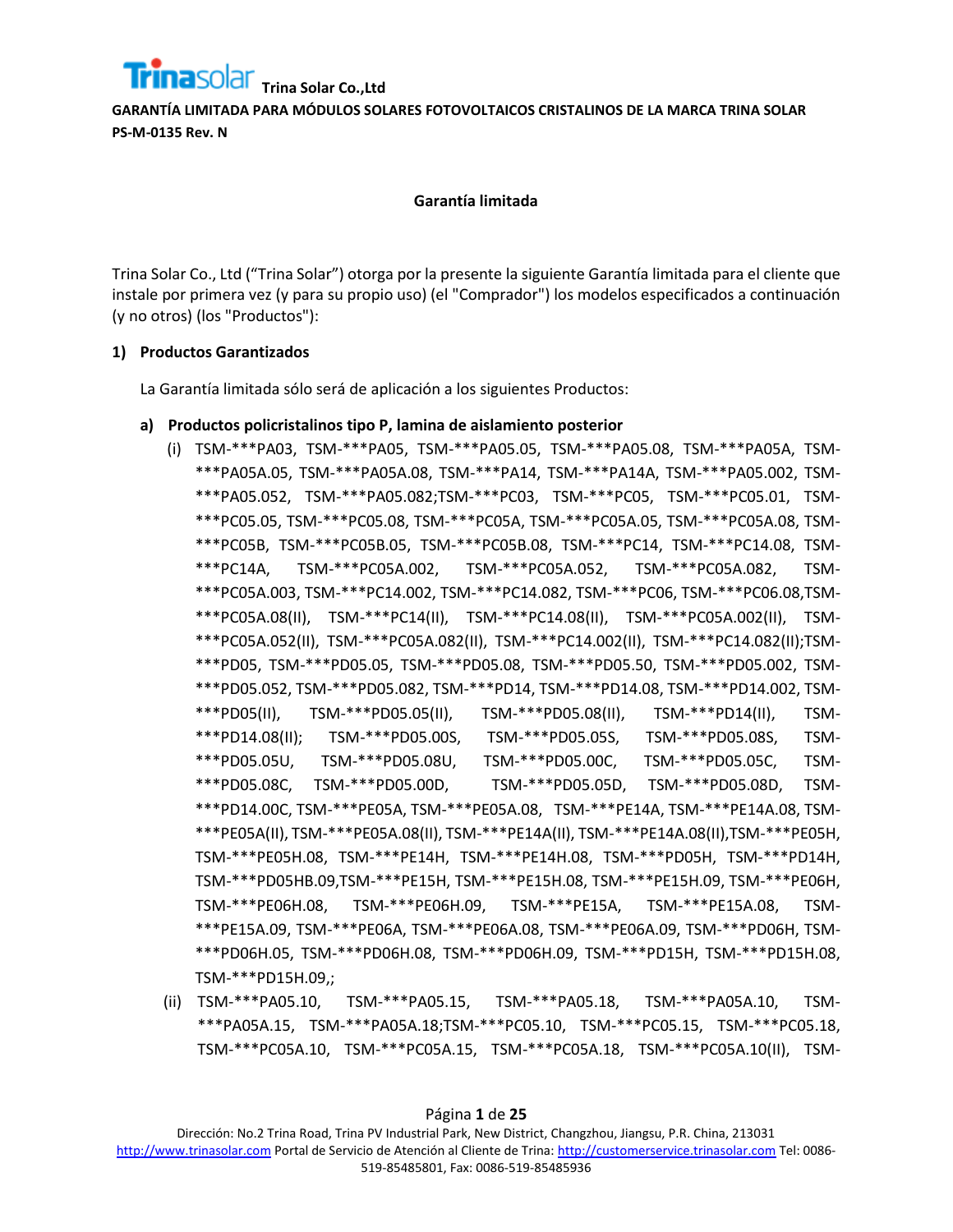

#### **Garantía limitada**

Trina Solar Co., Ltd ("Trina Solar") otorga por la presente la siguiente Garantía limitada para el cliente que instale por primera vez (y para su propio uso) (el "Comprador") los modelos especificados a continuación (y no otros) (los "Productos"):

## **1) Productos Garantizados**

La Garantía limitada sólo será de aplicación a los siguientes Productos:

#### **a) Productos policristalinos tipo P, lamina de aislamiento posterior**

- (i) TSM-\*\*\*PA03, TSM-\*\*\*PA05, TSM-\*\*\*PA05.05, TSM-\*\*\*PA05.08, TSM-\*\*\*PA05A, TSM- \*\*\*PA05A.05, TSM-\*\*\*PA05A.08, TSM-\*\*\*PA14, TSM-\*\*\*PA14A, TSM-\*\*\*PA05.002, TSM- \*\*\*PA05.052, TSM-\*\*\*PA05.082;TSM-\*\*\*PC03, TSM-\*\*\*PC05, TSM-\*\*\*PC05.01, TSM- \*\*\*PC05.05, TSM-\*\*\*PC05.08, TSM-\*\*\*PC05A, TSM-\*\*\*PC05A.05, TSM-\*\*\*PC05A.08, TSM- \*\*\*PC05B, TSM-\*\*\*PC05B.05, TSM-\*\*\*PC05B.08, TSM-\*\*\*PC14, TSM-\*\*\*PC14.08, TSM- \*\*\*PC14A, TSM-\*\*\*PC05A.002, TSM-\*\*\*PC05A.052, TSM-\*\*\*PC05A.082, TSM- \*\*\*PC05A.003, TSM-\*\*\*PC14.002, TSM-\*\*\*PC14.082, TSM-\*\*\*PC06, TSM-\*\*\*PC06.08,TSM- \*\*\*PC05A.08(II), TSM-\*\*\*PC14(II), TSM-\*\*\*PC14.08(II), TSM-\*\*\*PC05A.002(II), TSM- \*\*\*PC05A.052(II), TSM-\*\*\*PC05A.082(II), TSM-\*\*\*PC14.002(II), TSM-\*\*\*PC14.082(II);TSM- \*\*\*PD05, TSM-\*\*\*PD05.05, TSM-\*\*\*PD05.08, TSM-\*\*\*PD05.50, TSM-\*\*\*PD05.002, TSM- \*\*\*PD05.052, TSM-\*\*\*PD05.082, TSM-\*\*\*PD14, TSM-\*\*\*PD14.08, TSM-\*\*\*PD14.002, TSM- \*\*\*PD05(II), TSM-\*\*\*PD05.05(II), TSM-\*\*\*PD05.08(II), TSM-\*\*\*PD14(II), TSM- \*\*\*PD14.08(II); TSM-\*\*\*PD05.00S, TSM-\*\*\*PD05.05S, TSM-\*\*\*PD05.08S, TSM- \*\*\*PD05.05U, TSM-\*\*\*PD05.08U, TSM-\*\*\*PD05.00C, TSM-\*\*\*PD05.05C, TSM- \*\*\*PD05.08C, TSM-\*\*\*PD05.00D, TSM-\*\*\*PD05.05D, TSM-\*\*\*PD05.08D, TSM- \*\*\*PD14.00C, TSM-\*\*\*PE05A, TSM-\*\*\*PE05A.08, TSM-\*\*\*PE14A, TSM-\*\*\*PE14A.08, TSM- \*\*\*PE05A(II), TSM-\*\*\*PE05A.08(II), TSM-\*\*\*PE14A(II), TSM-\*\*\*PE14A.08(II),TSM-\*\*\*PE05H, TSM-\*\*\*PE05H.08, TSM-\*\*\*PE14H, TSM-\*\*\*PE14H.08, TSM-\*\*\*PD05H, TSM-\*\*\*PD14H, TSM-\*\*\*PD05HB.09,TSM-\*\*\*PE15H, TSM-\*\*\*PE15H.08, TSM-\*\*\*PE15H.09, TSM-\*\*\*PE06H, TSM-\*\*\*PE06H.08, TSM-\*\*\*PE06H.09, TSM-\*\*\*PE15A, TSM-\*\*\*PE15A.08, TSM- \*\*\*PE15A.09, TSM-\*\*\*PE06A, TSM-\*\*\*PE06A.08, TSM-\*\*\*PE06A.09, TSM-\*\*\*PD06H, TSM- \*\*\*PD06H.05, TSM-\*\*\*PD06H.08, TSM-\*\*\*PD06H.09, TSM-\*\*\*PD15H, TSM-\*\*\*PD15H.08, TSM-\*\*\*PD15H.09,;
- (ii) TSM-\*\*\*PA05.10, TSM-\*\*\*PA05.15, TSM-\*\*\*PA05.18, TSM-\*\*\*PA05A.10, TSM- \*\*\*PA05A.15, TSM-\*\*\*PA05A.18;TSM-\*\*\*PC05.10, TSM-\*\*\*PC05.15, TSM-\*\*\*PC05.18, TSM-\*\*\*PC05A.10, TSM-\*\*\*PC05A.15, TSM-\*\*\*PC05A.18, TSM-\*\*\*PC05A.10(II), TSM-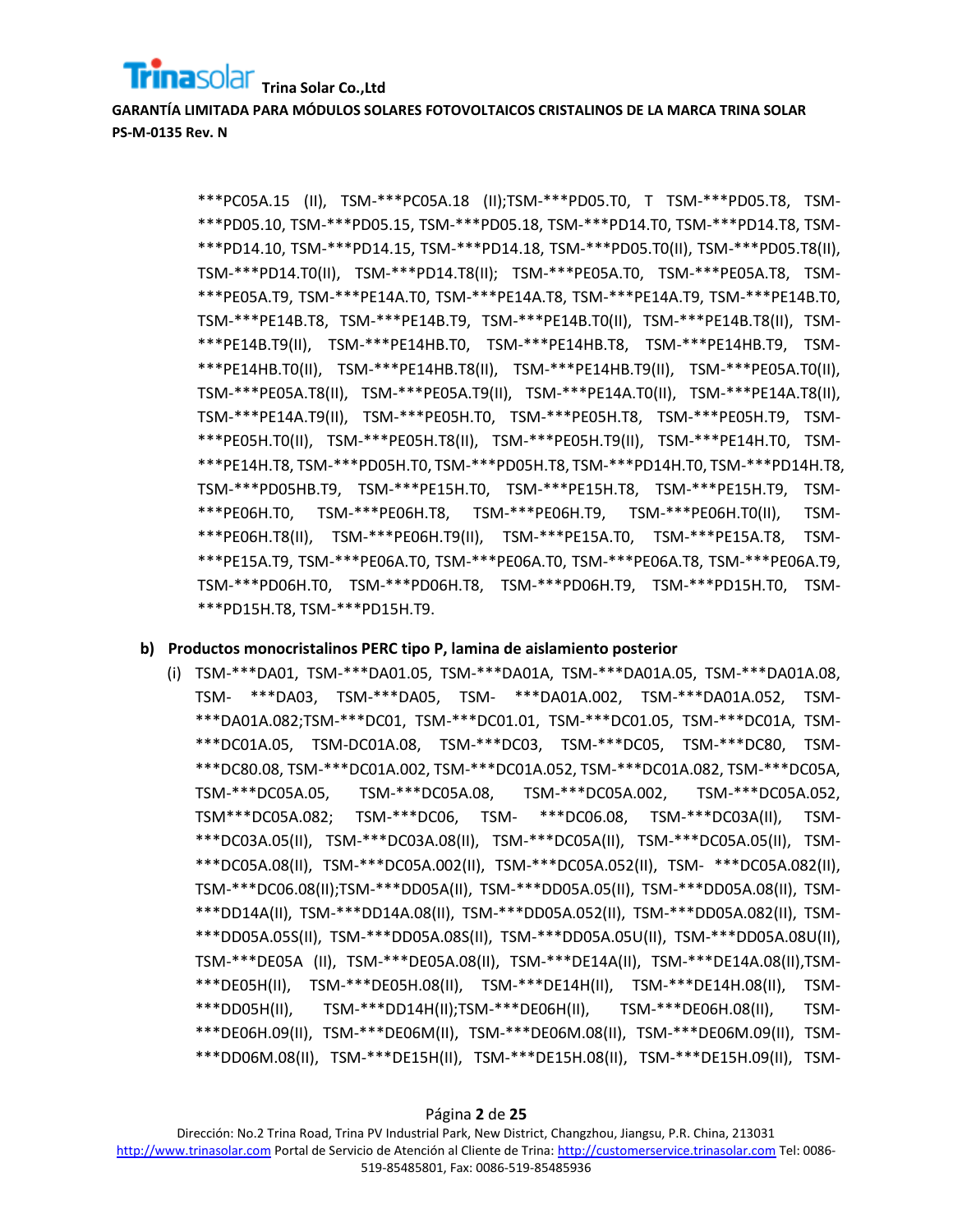## **Trina Solar Co.,Ltd**

**GARANTÍA LIMITADA PARA MÓDULOS SOLARES FOTOVOLTAICOS CRISTALINOS DE LA MARCA TRINA SOLAR PS-M-0135 Rev. N**

> \*\*\*PC05A.15 (II), TSM-\*\*\*PC05A.18 (II);TSM-\*\*\*PD05.T0, T TSM-\*\*\*PD05.T8, TSM- \*\*\*PD05.10, TSM-\*\*\*PD05.15, TSM-\*\*\*PD05.18, TSM-\*\*\*PD14.T0, TSM-\*\*\*PD14.T8, TSM- \*\*\*PD14.10, TSM-\*\*\*PD14.15, TSM-\*\*\*PD14.18, TSM-\*\*\*PD05.T0(II), TSM-\*\*\*PD05.T8(II), TSM-\*\*\*PD14.T0(II), TSM-\*\*\*PD14.T8(II); TSM-\*\*\*PE05A.T0, TSM-\*\*\*PE05A.T8, TSM- \*\*\*PE05A.T9, TSM-\*\*\*PE14A.T0, TSM-\*\*\*PE14A.T8, TSM-\*\*\*PE14A.T9, TSM-\*\*\*PE14B.T0, TSM-\*\*\*PE14B.T8, TSM-\*\*\*PE14B.T9, TSM-\*\*\*PE14B.T0(II), TSM-\*\*\*PE14B.T8(II), TSM- \*\*\*PE14B.T9(II), TSM-\*\*\*PE14HB.T0, TSM-\*\*\*PE14HB.T8, TSM-\*\*\*PE14HB.T9, TSM- \*\*\*PE14HB.T0(II), TSM-\*\*\*PE14HB.T8(II), TSM-\*\*\*PE14HB.T9(II), TSM-\*\*\*PE05A.T0(II), TSM-\*\*\*PE05A.T8(II), TSM-\*\*\*PE05A.T9(II), TSM-\*\*\*PE14A.T0(II), TSM-\*\*\*PE14A.T8(II), TSM-\*\*\*PE14A.T9(II), TSM-\*\*\*PE05H.T0, TSM-\*\*\*PE05H.T8, TSM-\*\*\*PE05H.T9, TSM- \*\*\*PE05H.T0(II), TSM-\*\*\*PE05H.T8(II), TSM-\*\*\*PE05H.T9(II), TSM-\*\*\*PE14H.T0, TSM- \*\*\*PE14H.T8, TSM-\*\*\*PD05H.T0, TSM-\*\*\*PD05H.T8, TSM-\*\*\*PD14H.T0, TSM-\*\*\*PD14H.T8, TSM-\*\*\*PD05HB.T9, TSM-\*\*\*PE15H.T0, TSM-\*\*\*PE15H.T8, TSM-\*\*\*PE15H.T9, TSM- \*\*\*PE06H.T0, TSM-\*\*\*PE06H.T8, TSM-\*\*\*PE06H.T9, TSM-\*\*\*PE06H.T0(II), TSM- \*\*\*PE06H.T8(II), TSM-\*\*\*PE06H.T9(II), TSM-\*\*\*PE15A.T0, TSM-\*\*\*PE15A.T8, TSM- \*\*\*PE15A.T9, TSM-\*\*\*PE06A.T0, TSM-\*\*\*PE06A.T0, TSM-\*\*\*PE06A.T8, TSM-\*\*\*PE06A.T9, TSM-\*\*\*PD06H.T0, TSM-\*\*\*PD06H.T8, TSM-\*\*\*PD06H.T9, TSM-\*\*\*PD15H.T0, TSM- \*\*\*PD15H.T8, TSM-\*\*\*PD15H.T9.

#### **b) Productos monocristalinos PERC tipo P, lamina de aislamiento posterior**

(i) TSM-\*\*\*DA01, TSM-\*\*\*DA01.05, TSM-\*\*\*DA01A, TSM-\*\*\*DA01A.05, TSM-\*\*\*DA01A.08, TSM- \*\*\*DA03, TSM-\*\*\*DA05, TSM- \*\*\*DA01A.002, TSM-\*\*\*DA01A.052, TSM- \*\*\*DA01A.082;TSM-\*\*\*DC01, TSM-\*\*\*DC01.01, TSM-\*\*\*DC01.05, TSM-\*\*\*DC01A, TSM- \*\*\*DC01A.05, TSM-DC01A.08, TSM-\*\*\*DC03, TSM-\*\*\*DC05, TSM-\*\*\*DC80, TSM- \*\*\*DC80.08, TSM-\*\*\*DC01A.002, TSM-\*\*\*DC01A.052, TSM-\*\*\*DC01A.082, TSM-\*\*\*DC05A, TSM-\*\*\*DC05A.05, TSM-\*\*\*DC05A.08, TSM-\*\*\*DC05A.002, TSM-\*\*\*DC05A.052, TSM\*\*\*DC05A.082; TSM-\*\*\*DC06, TSM- \*\*\*DC06.08, TSM-\*\*\*DC03A(II), TSM- \*\*\*DC03A.05(II), TSM-\*\*\*DC03A.08(II), TSM-\*\*\*DC05A(II), TSM-\*\*\*DC05A.05(II), TSM- \*\*\*DC05A.08(II), TSM-\*\*\*DC05A.002(II), TSM-\*\*\*DC05A.052(II), TSM- \*\*\*DC05A.082(II), TSM-\*\*\*DC06.08(II);TSM-\*\*\*DD05A(II), TSM-\*\*\*DD05A.05(II), TSM-\*\*\*DD05A.08(II), TSM- \*\*\*DD14A(II), TSM-\*\*\*DD14A.08(II), TSM-\*\*\*DD05A.052(II), TSM-\*\*\*DD05A.082(II), TSM- \*\*\*DD05A.05S(II), TSM-\*\*\*DD05A.08S(II), TSM-\*\*\*DD05A.05U(II), TSM-\*\*\*DD05A.08U(II), TSM-\*\*\*DE05A (II), TSM-\*\*\*DE05A.08(II), TSM-\*\*\*DE14A(II), TSM-\*\*\*DE14A.08(II),TSM- \*\*\*DE05H(II), TSM-\*\*\*DE05H.08(II), TSM-\*\*\*DE14H(II), TSM-\*\*\*DE14H.08(II), TSM- \*\*\*DD05H(II), TSM-\*\*\*DD14H(II);TSM-\*\*\*DE06H(II), TSM-\*\*\*DE06H.08(II), TSM- \*\*\*DE06H.09(II), TSM-\*\*\*DE06M(II), TSM-\*\*\*DE06M.08(II), TSM-\*\*\*DE06M.09(II), TSM- \*\*\*DD06M.08(II), TSM-\*\*\*DE15H(II), TSM-\*\*\*DE15H.08(II), TSM-\*\*\*DE15H.09(II), TSM-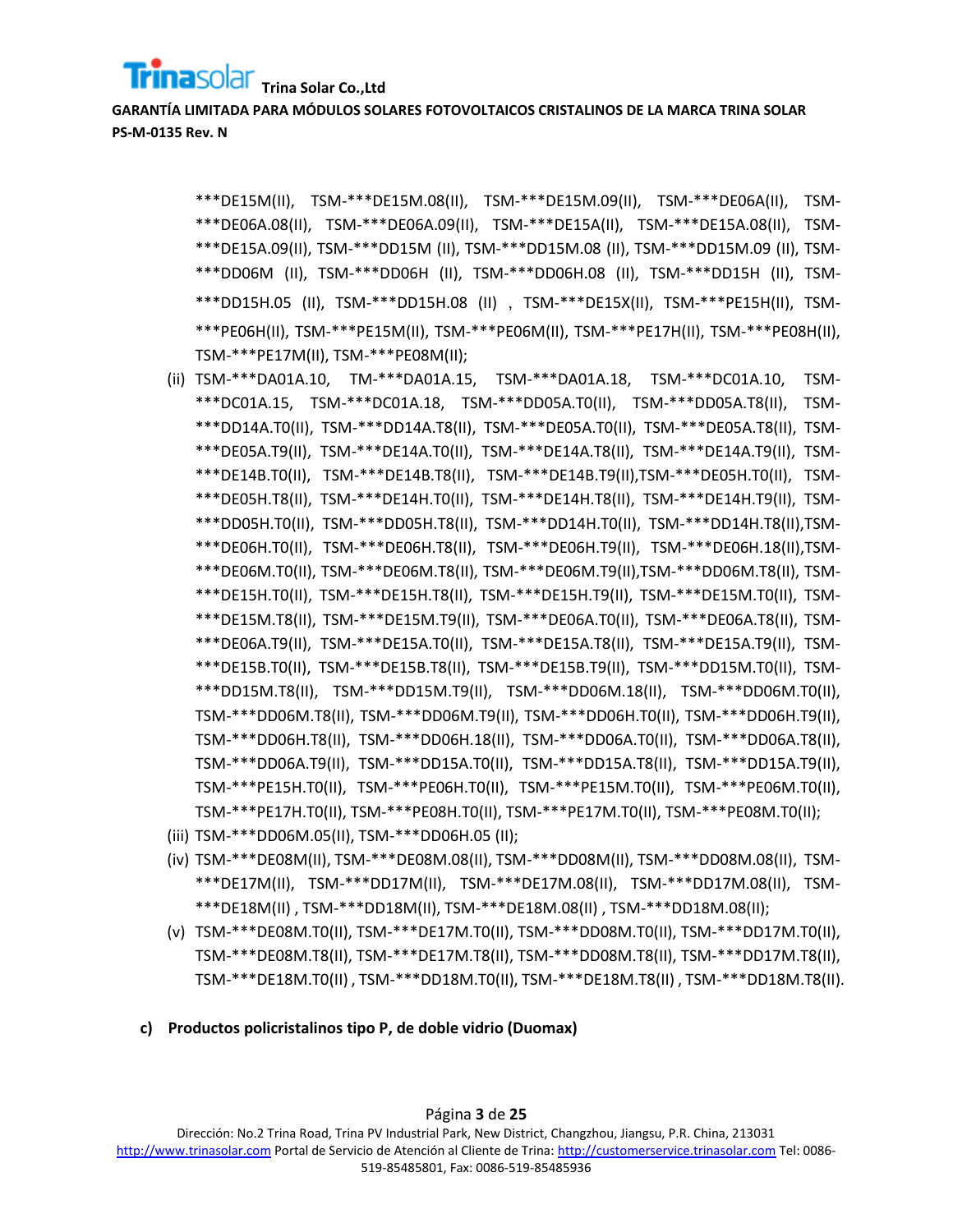## **Trina Solar Co.,Ltd**

**GARANTÍA LIMITADA PARA MÓDULOS SOLARES FOTOVOLTAICOS CRISTALINOS DE LA MARCA TRINA SOLAR PS-M-0135 Rev. N**

> \*\*\*DE15M(II), TSM-\*\*\*DE15M.08(II), TSM-\*\*\*DE15M.09(II), TSM-\*\*\*DE06A(II), TSM- \*\*\*DE06A.08(II), TSM-\*\*\*DE06A.09(II), TSM-\*\*\*DE15A(II), TSM-\*\*\*DE15A.08(II), TSM- \*\*\*DE15A.09(II), TSM-\*\*\*DD15M (II), TSM-\*\*\*DD15M.08 (II), TSM-\*\*\*DD15M.09 (II), TSM- \*\*\*DD06M (II), TSM-\*\*\*DD06H (II), TSM-\*\*\*DD06H.08 (II), TSM-\*\*\*DD15H (II), TSM- \*\*\*DD15H.05 (II), TSM-\*\*\*DD15H.08 (II) , TSM-\*\*\*DE15X(II), TSM-\*\*\*PE15H(II), TSM- \*\*\*PE06H(II), TSM-\*\*\*PE15M(II), TSM-\*\*\*PE06M(II), TSM-\*\*\*PE17H(II), TSM-\*\*\*PE08H(II), TSM-\*\*\*PE17M(II), TSM-\*\*\*PE08M(II);

- (ii) TSM-\*\*\*DA01A.10, TM-\*\*\*DA01A.15, TSM-\*\*\*DA01A.18, TSM-\*\*\*DC01A.10, TSM- \*\*\*DC01A.15, TSM-\*\*\*DC01A.18, TSM-\*\*\*DD05A.T0(II), TSM-\*\*\*DD05A.T8(II), TSM- \*\*\*DD14A.T0(II), TSM-\*\*\*DD14A.T8(II), TSM-\*\*\*DE05A.T0(II), TSM-\*\*\*DE05A.T8(II), TSM- \*\*\*DE05A.T9(II), TSM-\*\*\*DE14A.T0(II), TSM-\*\*\*DE14A.T8(II), TSM-\*\*\*DE14A.T9(II), TSM- \*\*\*DE14B.T0(II), TSM-\*\*\*DE14B.T8(II), TSM-\*\*\*DE14B.T9(II),TSM-\*\*\*DE05H.T0(II), TSM- \*\*\*DE05H.T8(II), TSM-\*\*\*DE14H.T0(II), TSM-\*\*\*DE14H.T8(II), TSM-\*\*\*DE14H.T9(II), TSM- \*\*\*DD05H.T0(II), TSM-\*\*\*DD05H.T8(II), TSM-\*\*\*DD14H.T0(II), TSM-\*\*\*DD14H.T8(II),TSM- \*\*\*DE06H.T0(II), TSM-\*\*\*DE06H.T8(II), TSM-\*\*\*DE06H.T9(II), TSM-\*\*\*DE06H.18(II),TSM- \*\*\*DE06M.T0(II), TSM-\*\*\*DE06M.T8(II), TSM-\*\*\*DE06M.T9(II),TSM-\*\*\*DD06M.T8(II), TSM- \*\*\*DE15H.T0(II), TSM-\*\*\*DE15H.T8(II), TSM-\*\*\*DE15H.T9(II), TSM-\*\*\*DE15M.T0(II), TSM- \*\*\*DE15M.T8(II), TSM-\*\*\*DE15M.T9(II), TSM-\*\*\*DE06A.T0(II), TSM-\*\*\*DE06A.T8(II), TSM- \*\*\*DE06A.T9(II), TSM-\*\*\*DE15A.T0(II), TSM-\*\*\*DE15A.T8(II), TSM-\*\*\*DE15A.T9(II), TSM- \*\*\*DE15B.T0(II), TSM-\*\*\*DE15B.T8(II), TSM-\*\*\*DE15B.T9(II), TSM-\*\*\*DD15M.T0(II), TSM- \*\*\*DD15M.T8(II), TSM-\*\*\*DD15M.T9(II), TSM-\*\*\*DD06M.18(II), TSM-\*\*\*DD06M.T0(II), TSM-\*\*\*DD06M.T8(II), TSM-\*\*\*DD06M.T9(II), TSM-\*\*\*DD06H.T0(II), TSM-\*\*\*DD06H.T9(II), TSM-\*\*\*DD06H.T8(II), TSM-\*\*\*DD06H.18(II), TSM-\*\*\*DD06A.T0(II), TSM-\*\*\*DD06A.T8(II), TSM-\*\*\*DD06A.T9(II), TSM-\*\*\*DD15A.T0(II), TSM-\*\*\*DD15A.T8(II), TSM-\*\*\*DD15A.T9(II), TSM-\*\*\*PE15H.T0(II), TSM-\*\*\*PE06H.T0(II), TSM-\*\*\*PE15M.T0(II), TSM-\*\*\*PE06M.T0(II), TSM-\*\*\*PE17H.T0(II), TSM-\*\*\*PE08H.T0(II), TSM-\*\*\*PE17M.T0(II), TSM-\*\*\*PE08M.T0(II);
- (iii) TSM-\*\*\*DD06M.05(II), TSM-\*\*\*DD06H.05 (II);
- (iv) TSM-\*\*\*DE08M(II), TSM-\*\*\*DE08M.08(II), TSM-\*\*\*DD08M(II), TSM-\*\*\*DD08M.08(II), TSM- \*\*\*DE17M(II), TSM-\*\*\*DD17M(II), TSM-\*\*\*DE17M.08(II), TSM-\*\*\*DD17M.08(II), TSM- \*\*\*DE18M(II) , TSM-\*\*\*DD18M(II), TSM-\*\*\*DE18M.08(II) , TSM-\*\*\*DD18M.08(II);
- (v) TSM-\*\*\*DE08M.T0(II), TSM-\*\*\*DE17M.T0(II), TSM-\*\*\*DD08M.T0(II), TSM-\*\*\*DD17M.T0(II), TSM-\*\*\*DE08M.T8(II), TSM-\*\*\*DE17M.T8(II), TSM-\*\*\*DD08M.T8(II), TSM-\*\*\*DD17M.T8(II), TSM-\*\*\*DE18M.T0(II) , TSM-\*\*\*DD18M.T0(II), TSM-\*\*\*DE18M.T8(II) , TSM-\*\*\*DD18M.T8(II).
- **c) Productos policristalinos tipo P, de doble vidrio (Duomax)**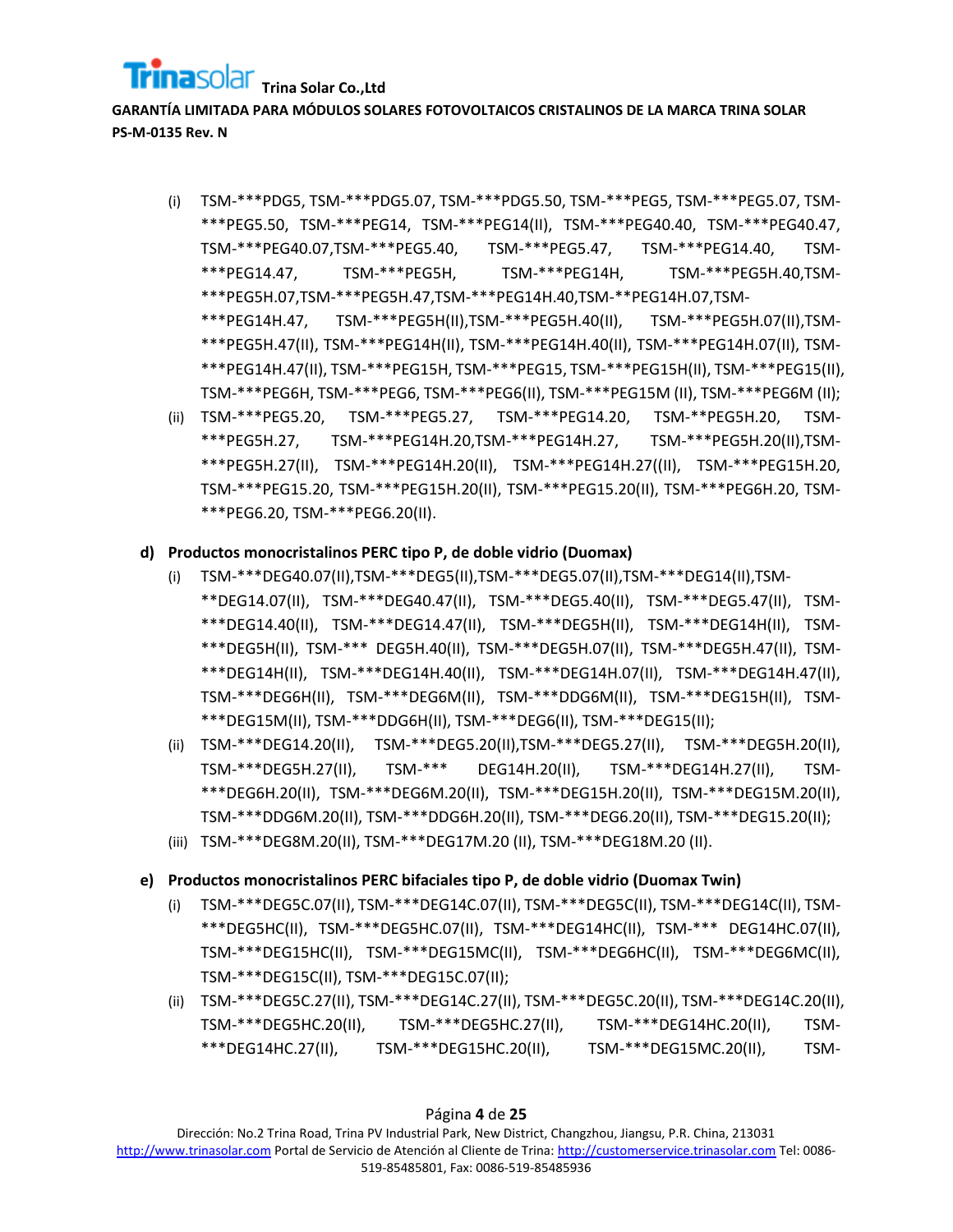## **Trina Solar Co.,Ltd**

**GARANTÍA LIMITADA PARA MÓDULOS SOLARES FOTOVOLTAICOS CRISTALINOS DE LA MARCA TRINA SOLAR PS-M-0135 Rev. N**

- (i) TSM-\*\*\*PDG5, TSM-\*\*\*PDG5.07, TSM-\*\*\*PDG5.50, TSM-\*\*\*PEG5, TSM-\*\*\*PEG5.07, TSM- \*\*\*PEG5.50, TSM-\*\*\*PEG14, TSM-\*\*\*PEG14(II), TSM-\*\*\*PEG40.40, TSM-\*\*\*PEG40.47, TSM-\*\*\*PEG40.07,TSM-\*\*\*PEG5.40, TSM-\*\*\*PEG5.47, TSM-\*\*\*PEG14.40, TSM- \*\*\*PEG14.47, TSM-\*\*\*PEG5H, TSM-\*\*\*PEG14H, TSM-\*\*\*PEG5H.40,TSM- \*\*\*PEG5H.07,TSM-\*\*\*PEG5H.47,TSM-\*\*\*PEG14H.40,TSM-\*\*PEG14H.07,TSM- \*\*\*PEG14H.47, TSM-\*\*\*PEG5H(II),TSM-\*\*\*PEG5H.40(II), TSM-\*\*\*PEG5H.07(II),TSM- \*\*\*PEG5H.47(II), TSM-\*\*\*PEG14H(II), TSM-\*\*\*PEG14H.40(II), TSM-\*\*\*PEG14H.07(II), TSM- \*\*\*PEG14H.47(II), TSM-\*\*\*PEG15H, TSM-\*\*\*PEG15, TSM-\*\*\*PEG15H(II), TSM-\*\*\*PEG15(II), TSM-\*\*\*PEG6H, TSM-\*\*\*PEG6, TSM-\*\*\*PEG6(II), TSM-\*\*\*PEG15M (II), TSM-\*\*\*PEG6M (II);
- (ii) TSM-\*\*\*PEG5.20, TSM-\*\*\*PEG5.27, TSM-\*\*\*PEG14.20, TSM-\*\*PEG5H.20, TSM- \*\*\*PEG5H.27, TSM-\*\*\*PEG14H.20,TSM-\*\*\*PEG14H.27, TSM-\*\*\*PEG5H.20(II),TSM- \*\*\*PEG5H.27(II), TSM-\*\*\*PEG14H.20(II), TSM-\*\*\*PEG14H.27((II), TSM-\*\*\*PEG15H.20, TSM-\*\*\*PEG15.20, TSM-\*\*\*PEG15H.20(II), TSM-\*\*\*PEG15.20(II), TSM-\*\*\*PEG6H.20, TSM- \*\*\*PEG6.20, TSM-\*\*\*PEG6.20(II).

## **d) Productos monocristalinos PERC tipo P, de doble vidrio (Duomax)**

- (i) TSM-\*\*\*DEG40.07(II),TSM-\*\*\*DEG5(II),TSM-\*\*\*DEG5.07(II),TSM-\*\*\*DEG14(II),TSM- \*\*DEG14.07(II), TSM-\*\*\*DEG40.47(II), TSM-\*\*\*DEG5.40(II), TSM-\*\*\*DEG5.47(II), TSM- \*\*\*DEG14.40(II), TSM-\*\*\*DEG14.47(II), TSM-\*\*\*DEG5H(II), TSM-\*\*\*DEG14H(II), TSM- \*\*\*DEG5H(II), TSM-\*\*\* DEG5H.40(II), TSM-\*\*\*DEG5H.07(II), TSM-\*\*\*DEG5H.47(II), TSM- \*\*\*DEG14H(II), TSM-\*\*\*DEG14H.40(II), TSM-\*\*\*DEG14H.07(II), TSM-\*\*\*DEG14H.47(II), TSM-\*\*\*DEG6H(II), TSM-\*\*\*DEG6M(II), TSM-\*\*\*DDG6M(II), TSM-\*\*\*DEG15H(II), TSM- \*\*\*DEG15M(II), TSM-\*\*\*DDG6H(II), TSM-\*\*\*DEG6(II), TSM-\*\*\*DEG15(II);
- (ii) TSM-\*\*\*DEG14.20(II), TSM-\*\*\*DEG5.20(II),TSM-\*\*\*DEG5.27(II), TSM-\*\*\*DEG5H.20(II), TSM-\*\*\*DEG5H.27(II), TSM-\*\*\* DEG14H.20(II), TSM-\*\*\*DEG14H.27(II), TSM- \*\*\*DEG6H.20(II), TSM-\*\*\*DEG6M.20(II), TSM-\*\*\*DEG15H.20(II), TSM-\*\*\*DEG15M.20(II), TSM-\*\*\*DDG6M.20(II), TSM-\*\*\*DDG6H.20(II), TSM-\*\*\*DEG6.20(II), TSM-\*\*\*DEG15.20(II);
- (iii) TSM-\*\*\*DEG8M.20(II), TSM-\*\*\*DEG17M.20 (II), TSM-\*\*\*DEG18M.20 (II).

## **e) Productos monocristalinos PERC bifaciales tipo P, de doble vidrio (Duomax Twin)**

- (i) TSM-\*\*\*DEG5C.07(II), TSM-\*\*\*DEG14C.07(II), TSM-\*\*\*DEG5C(II), TSM-\*\*\*DEG14C(II), TSM- \*\*\*DEG5HC(II), TSM-\*\*\*DEG5HC.07(II), TSM-\*\*\*DEG14HC(II), TSM-\*\*\* DEG14HC.07(II), TSM-\*\*\*DEG15HC(II), TSM-\*\*\*DEG15MC(II), TSM-\*\*\*DEG6HC(II), TSM-\*\*\*DEG6MC(II), TSM-\*\*\*DEG15C(II), TSM-\*\*\*DEG15C.07(II);
- (ii) TSM-\*\*\*DEG5C.27(II), TSM-\*\*\*DEG14C.27(II), TSM-\*\*\*DEG5C.20(II), TSM-\*\*\*DEG14C.20(II), TSM-\*\*\*DEG5HC.20(II), TSM-\*\*\*DEG5HC.27(II), TSM-\*\*\*DEG14HC.20(II), TSM- \*\*\*DEG14HC.27(II), TSM-\*\*\*DEG15HC.20(II), TSM-\*\*\*DEG15MC.20(II), TSM-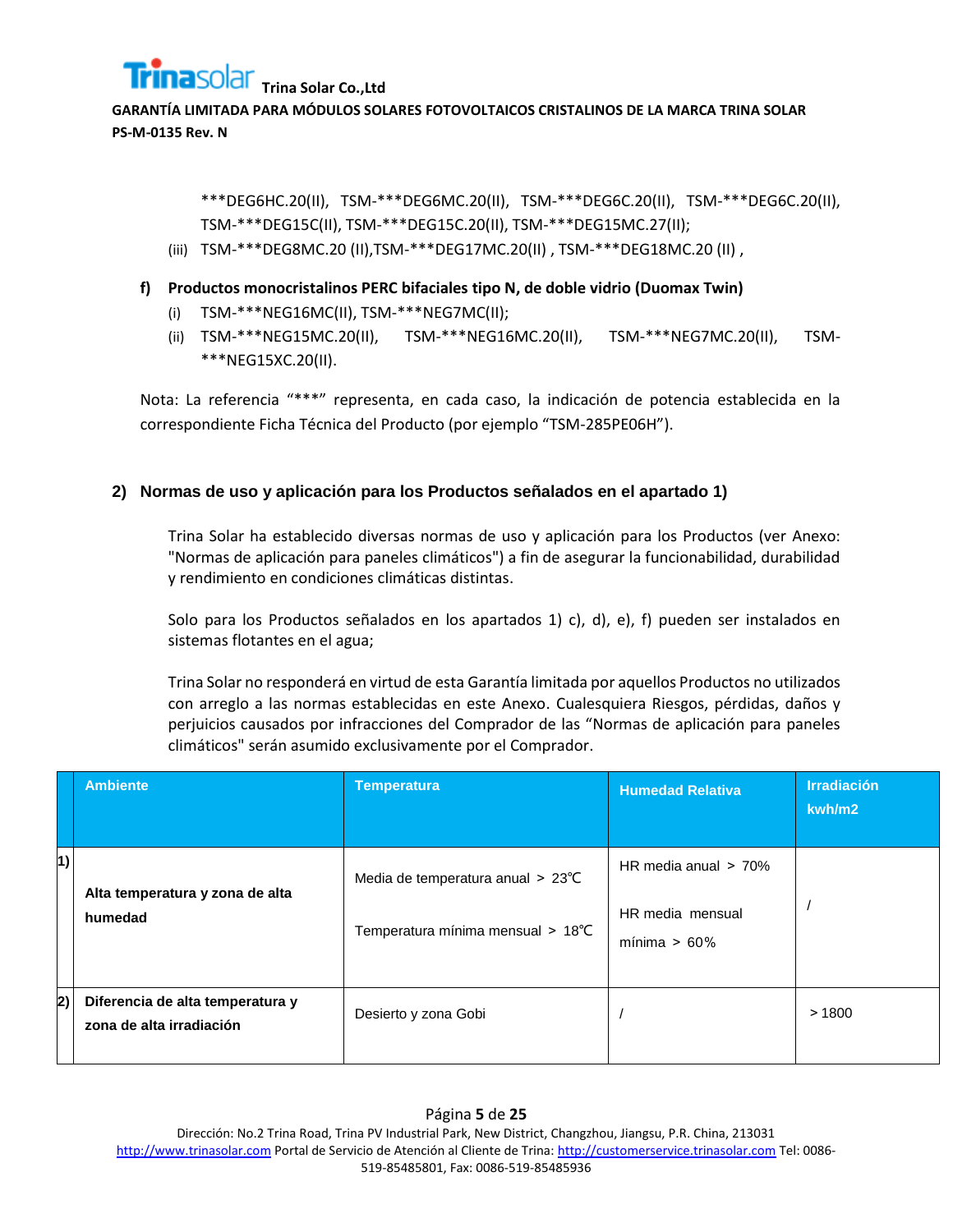

> \*\*\*DEG6HC.20(II), TSM-\*\*\*DEG6MC.20(II), TSM-\*\*\*DEG6C.20(II), TSM-\*\*\*DEG6C.20(II), TSM-\*\*\*DEG15C(II), TSM-\*\*\*DEG15C.20(II), TSM-\*\*\*DEG15MC.27(II);

- (iii) TSM-\*\*\*DEG8MC.20 (II),TSM-\*\*\*DEG17MC.20(II) , TSM-\*\*\*DEG18MC.20 (II) ,
- **f) Productos monocristalinos PERC bifaciales tipo N, de doble vidrio (Duomax Twin)**
	- (i) TSM-\*\*\*NEG16MC(II), TSM-\*\*\*NEG7MC(II);
	- (ii) TSM-\*\*\*NEG15MC.20(II), TSM-\*\*\*NEG16MC.20(II), TSM-\*\*\*NEG7MC.20(II), TSM- \*\*\*NEG15XC.20(II).

Nota: La referencia "\*\*\*" representa, en cada caso, la indicación de potencia establecida en la correspondiente Ficha Técnica del Producto (por ejemplo "TSM-285PE06H").

## **2) Normas de uso y aplicación para los Productos señalados en el apartado 1)**

Trina Solar ha establecido diversas normas de uso y aplicación para los Productos (ver Anexo: "Normas de aplicación para paneles climáticos") a fin de asegurar la funcionabilidad, durabilidad y rendimiento en condiciones climáticas distintas.

Solo para los Productos señalados en los apartados 1) c), d), e), f) pueden ser instalados en sistemas flotantes en el agua;

Trina Solar no responderá en virtud de esta Garantía limitada por aquellos Productos no utilizados con arreglo a las normas establecidas en este Anexo. Cualesquiera Riesgos, pérdidas, daños y perjuicios causados por infracciones del Comprador de las "Normas de aplicación para paneles climáticos" serán asumido exclusivamente por el Comprador.

|    | <b>Ambiente</b>                                              | <b>Temperatura</b>                                                     | <b>Humedad Relativa</b>                                        | <b>Irradiación</b><br>kwh/m2 |
|----|--------------------------------------------------------------|------------------------------------------------------------------------|----------------------------------------------------------------|------------------------------|
| 1) | Alta temperatura y zona de alta<br>humedad                   | Media de temperatura anual > 23°C<br>Temperatura mínima mensual > 18°C | HR media anual $> 70\%$<br>HR media mensual<br>mínima > $60\%$ |                              |
| 2) | Diferencia de alta temperatura y<br>zona de alta irradiación | Desierto y zona Gobi                                                   |                                                                | >1800                        |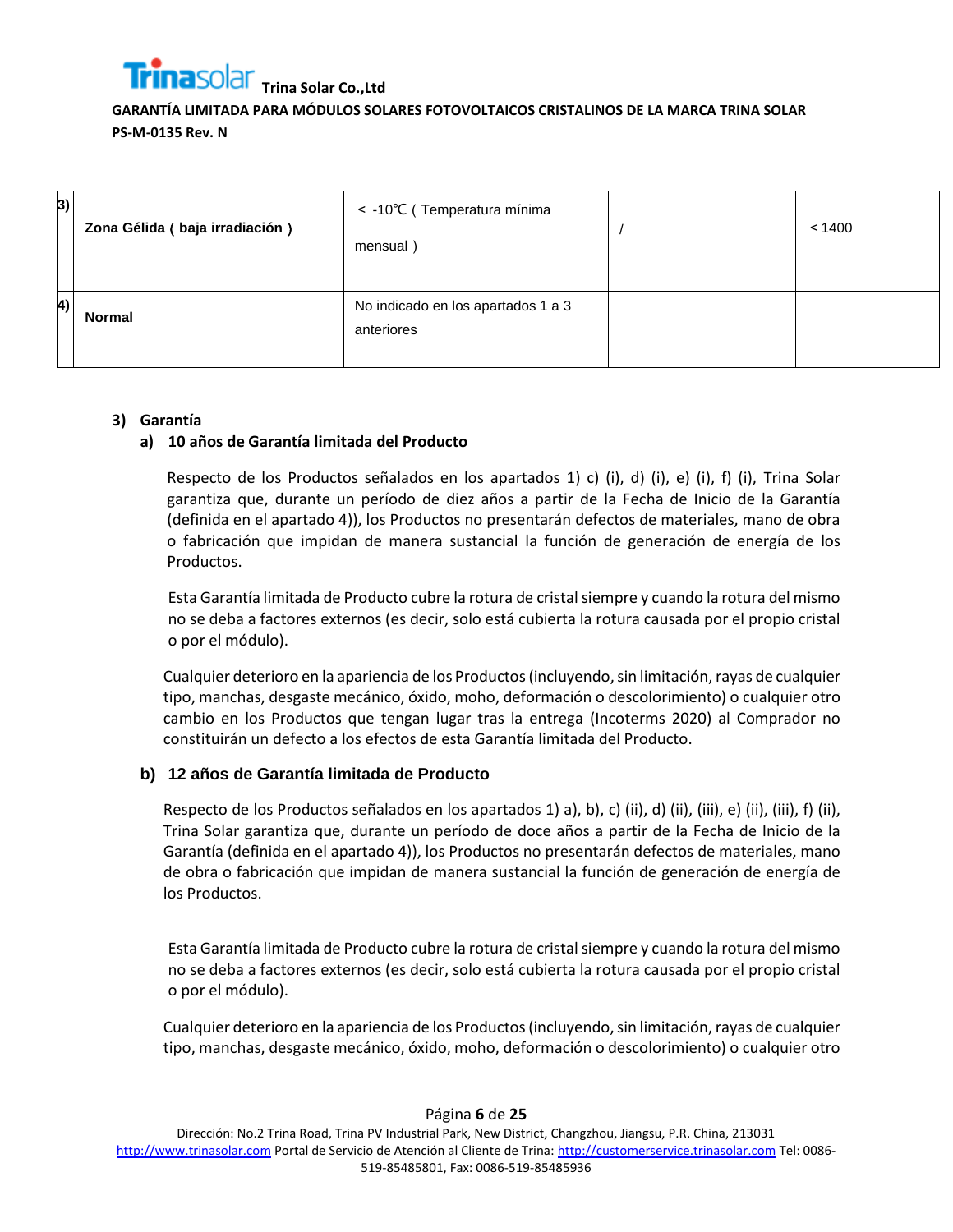

| 3)         | Zona Gélida (baja irradiación) | < -10°C (Temperatura mínima<br>mensual)          | < 1400 |
|------------|--------------------------------|--------------------------------------------------|--------|
| $\vert 4)$ | <b>Normal</b>                  | No indicado en los apartados 1 a 3<br>anteriores |        |

## **3) Garantía**

## **a) 10 años de Garantía limitada del Producto**

Respecto de los Productos señalados en los apartados 1) c) (i), d) (i), e) (i), f) (i), Trina Solar garantiza que, durante un período de diez años a partir de la Fecha de Inicio de la Garantía (definida en el apartado 4)), los Productos no presentarán defectos de materiales, mano de obra o fabricación que impidan de manera sustancial la función de generación de energía de los Productos.

Esta Garantía limitada de Producto cubre la rotura de cristal siempre y cuando la rotura del mismo no se deba a factores externos (es decir, solo está cubierta la rotura causada por el propio cristal o por el módulo).

Cualquier deterioro en la apariencia de los Productos(incluyendo, sin limitación, rayas de cualquier tipo, manchas, desgaste mecánico, óxido, moho, deformación o descolorimiento) o cualquier otro cambio en los Productos que tengan lugar tras la entrega (Incoterms 2020) al Comprador no constituirán un defecto a los efectos de esta Garantía limitada del Producto.

## **b) 12 años de Garantía limitada de Producto**

Respecto de los Productos señalados en los apartados 1) a), b), c) (ii), d) (ii), (iii), e) (ii), (iii), f) (ii), Trina Solar garantiza que, durante un período de doce años a partir de la Fecha de Inicio de la Garantía (definida en el apartado 4)), los Productos no presentarán defectos de materiales, mano de obra o fabricación que impidan de manera sustancial la función de generación de energía de los Productos.

Esta Garantía limitada de Producto cubre la rotura de cristal siempre y cuando la rotura del mismo no se deba a factores externos (es decir, solo está cubierta la rotura causada por el propio cristal o por el módulo).

Cualquier deterioro en la apariencia de los Productos (incluyendo, sin limitación, rayas de cualquier tipo, manchas, desgaste mecánico, óxido, moho, deformación o descolorimiento) o cualquier otro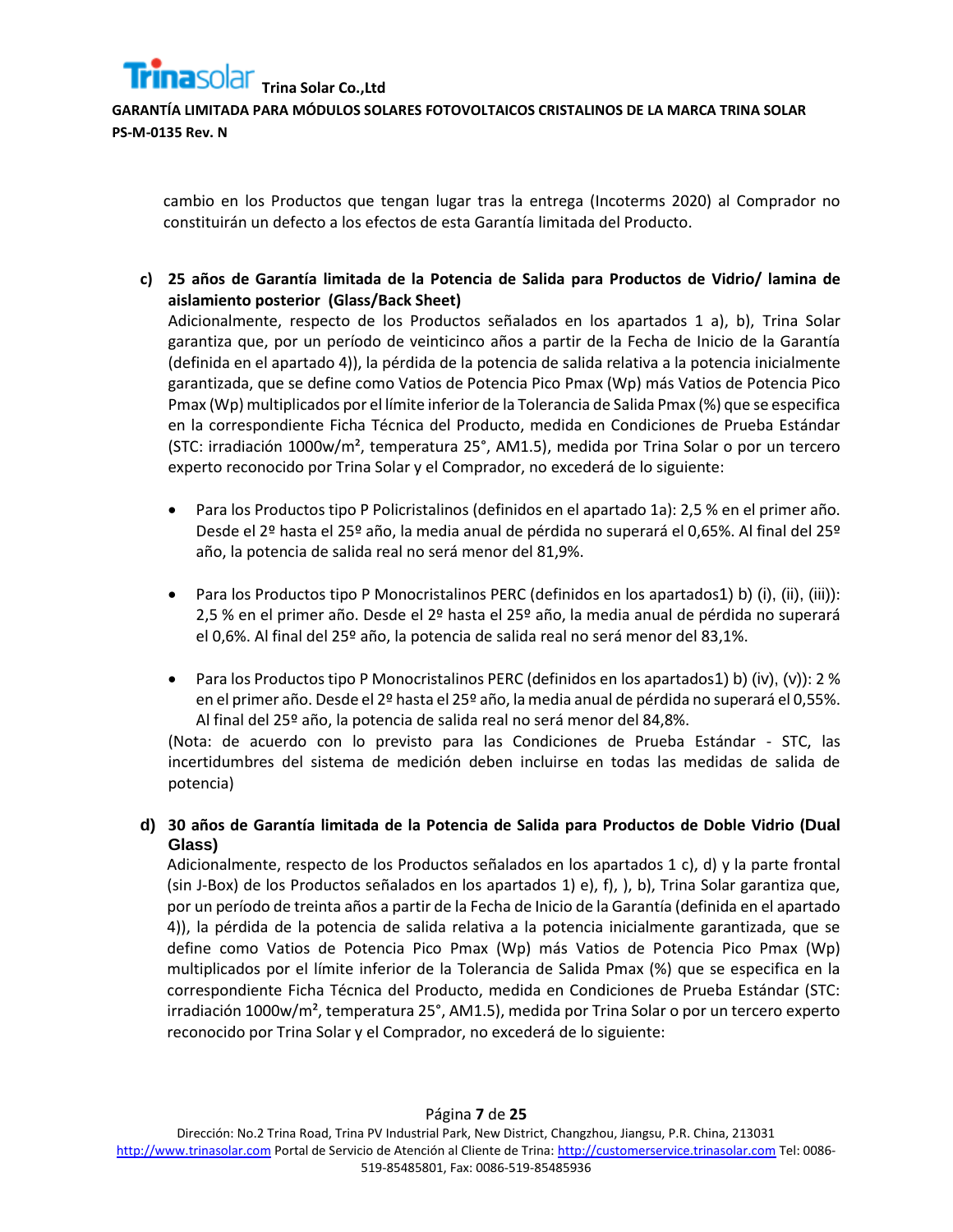**GARANTÍA LIMITADA PARA MÓDULOS SOLARES FOTOVOLTAICOS CRISTALINOS DE LA MARCA TRINA SOLAR PS-M-0135 Rev. N**

cambio en los Productos que tengan lugar tras la entrega (Incoterms 2020) al Comprador no constituirán un defecto a los efectos de esta Garantía limitada del Producto.

**c) 25 años de Garantía limitada de la Potencia de Salida para Productos de Vidrio/ lamina de aislamiento posterior (Glass/Back Sheet)**

Adicionalmente, respecto de los Productos señalados en los apartados 1 a), b), Trina Solar garantiza que, por un período de veinticinco años a partir de la Fecha de Inicio de la Garantía (definida en el apartado 4)), la pérdida de la potencia de salida relativa a la potencia inicialmente garantizada, que se define como Vatios de Potencia Pico Pmax (Wp) más Vatios de Potencia Pico Pmax (Wp) multiplicados por el límite inferior de la Tolerancia de Salida Pmax (%) que se especifica en la correspondiente Ficha Técnica del Producto, medida en Condiciones de Prueba Estándar (STC: irradiación 1000w/m², temperatura 25°, AM1.5), medida por Trina Solar o por un tercero experto reconocido por Trina Solar y el Comprador, no excederá de lo siguiente:

- Para los Productos tipo P Policristalinos (definidos en el apartado 1a): 2,5 % en el primer año. Desde el 2º hasta el 25º año, la media anual de pérdida no superará el 0,65%. Al final del 25º año, la potencia de salida real no será menor del 81,9%.
- **•** Para los Productos tipo P Monocristalinos PERC (definidos en los apartados1) b) (i), (ii), (iii)): 2,5 % en el primer año. Desde el 2º hasta el 25º año, la media anual de pérdida no superará el 0,6%. Al final del 25º año, la potencia de salida real no será menor del 83,1%.
- Para los Productos tipo P Monocristalinos PERC (definidos en los apartados1) b) (iv), (v)): 2 % en el primer año. Desde el 2º hasta el 25º año, la media anual de pérdida no superará el 0,55%. Al final del 25º año, la potencia de salida real no será menor del 84,8%.

(Nota: de acuerdo con lo previsto para las Condiciones de Prueba Estándar - STC, las incertidumbres del sistema de medición deben incluirse en todas las medidas de salida de potencia)

**d) 30 años de Garantía limitada de la Potencia de Salida para Productos de Doble Vidrio (Dual Glass)**

Adicionalmente, respecto de los Productos señalados en los apartados 1 c), d) y la parte frontal (sin J-Box) de los Productos señalados en los apartados 1) e), f), ), b), Trina Solar garantiza que, por un período de treinta años a partir de la Fecha de Inicio de la Garantía (definida en el apartado 4)), la pérdida de la potencia de salida relativa a la potencia inicialmente garantizada, que se define como Vatios de Potencia Pico Pmax (Wp) más Vatios de Potencia Pico Pmax (Wp) multiplicados por el límite inferior de la Tolerancia de Salida Pmax (%) que se especifica en la correspondiente Ficha Técnica del Producto, medida en Condiciones de Prueba Estándar (STC: irradiación 1000w/m², temperatura 25°, AM1.5), medida por Trina Solar o por un tercero experto reconocido por Trina Solar y el Comprador, no excederá de lo siguiente: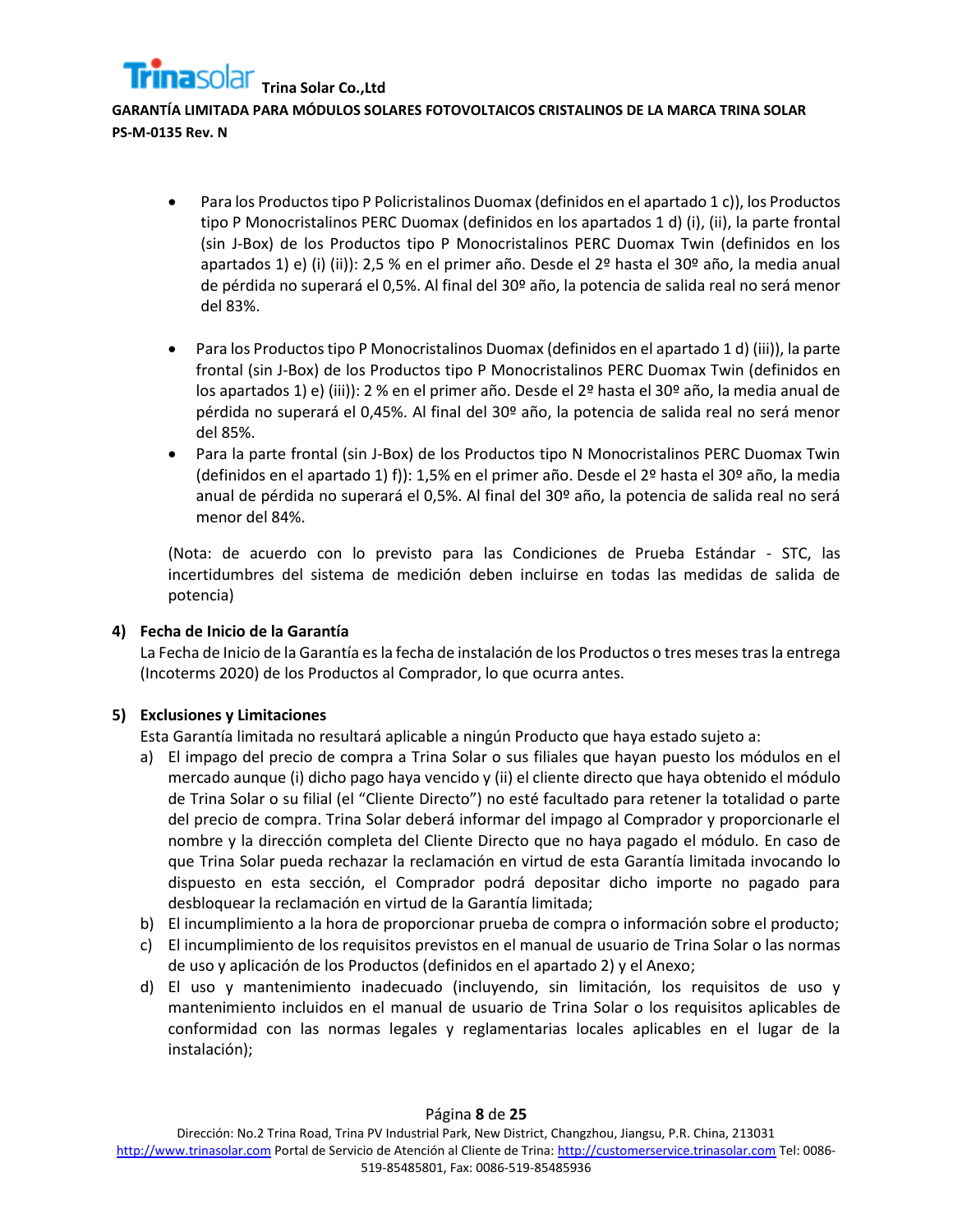## **GARANTÍA LIMITADA PARA MÓDULOS SOLARES FOTOVOLTAICOS CRISTALINOS DE LA MARCA TRINA SOLAR PS-M-0135 Rev. N**

- Para los Productos tipo P Policristalinos Duomax (definidos en el apartado 1 c)), los Productos tipo P Monocristalinos PERC Duomax (definidos en los apartados 1 d) (i), (ii), la parte frontal (sin J-Box) de los Productos tipo P Monocristalinos PERC Duomax Twin (definidos en los apartados 1) e) (i) (ii)): 2,5 % en el primer año. Desde el 2º hasta el 30º año, la media anual de pérdida no superará el 0,5%. Al final del 30º año, la potencia de salida real no será menor del 83%.
- Para los Productos tipo P Monocristalinos Duomax (definidos en el apartado 1 d) (iii)), la parte frontal (sin J-Box) de los Productos tipo P Monocristalinos PERC Duomax Twin (definidos en los apartados 1) e) (iii)): 2 % en el primer año. Desde el 2º hasta el 30º año, la media anual de pérdida no superará el 0,45%. Al final del 30º año, la potencia de salida real no será menor del 85%.
- Para la parte frontal (sin J-Box) de los Productos tipo N Monocristalinos PERC Duomax Twin (definidos en el apartado 1) f)): 1,5% en el primer año. Desde el 2º hasta el 30º año, la media anual de pérdida no superará el 0,5%. Al final del 30º año, la potencia de salida real no será menor del 84%.

(Nota: de acuerdo con lo previsto para las Condiciones de Prueba Estándar - STC, las incertidumbres del sistema de medición deben incluirse en todas las medidas de salida de potencia)

## **4) Fecha de Inicio de la Garantía**

La Fecha de Inicio de la Garantía esla fecha de instalación de los Productos o tres meses tras la entrega (Incoterms 2020) de los Productos al Comprador, lo que ocurra antes.

## **5) Exclusiones y Limitaciones**

Esta Garantía limitada no resultará aplicable a ningún Producto que haya estado sujeto a:

- a) El impago del precio de compra a Trina Solar o sus filiales que hayan puesto los módulos en el mercado aunque (i) dicho pago haya vencido y (ii) el cliente directo que haya obtenido el módulo de Trina Solar o su filial (el "Cliente Directo") no esté facultado para retener la totalidad o parte del precio de compra. Trina Solar deberá informar del impago al Comprador y proporcionarle el nombre y la dirección completa del Cliente Directo que no haya pagado el módulo. En caso de que Trina Solar pueda rechazar la reclamación en virtud de esta Garantía limitada invocando lo dispuesto en esta sección, el Comprador podrá depositar dicho importe no pagado para desbloquear la reclamación en virtud de la Garantía limitada;
- b) El incumplimiento a la hora de proporcionar prueba de compra o información sobre el producto;
- c) El incumplimiento de los requisitos previstos en el manual de usuario de Trina Solar o las normas de uso y aplicación de los Productos (definidos en el apartado 2) y el Anexo;
- d) El uso y mantenimiento inadecuado (incluyendo, sin limitación, los requisitos de uso y mantenimiento incluidos en el manual de usuario de Trina Solar o los requisitos aplicables de conformidad con las normas legales y reglamentarias locales aplicables en el lugar de la instalación);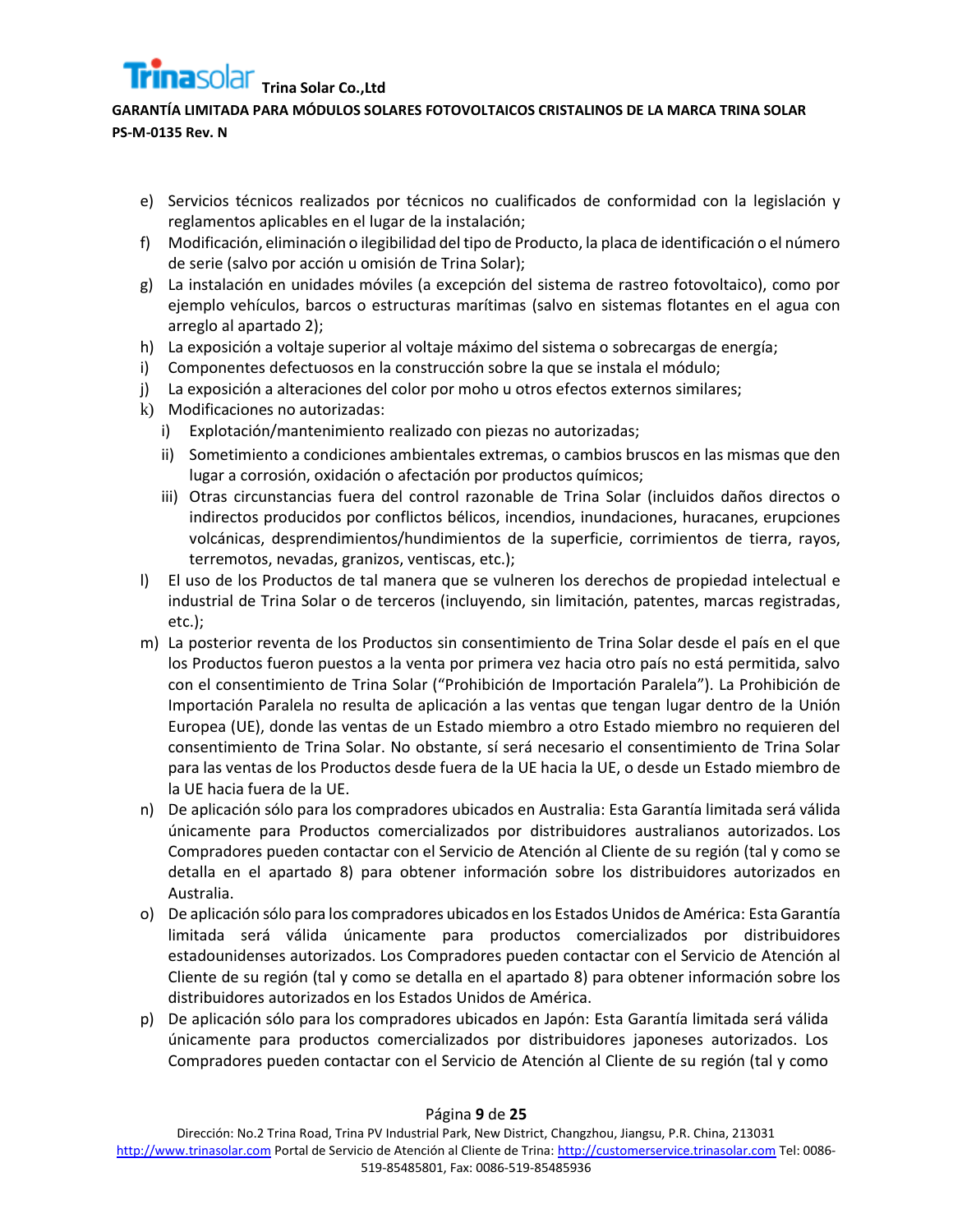## **GARANTÍA LIMITADA PARA MÓDULOS SOLARES FOTOVOLTAICOS CRISTALINOS DE LA MARCA TRINA SOLAR PS-M-0135 Rev. N**

- e) Servicios técnicos realizados por técnicos no cualificados de conformidad con la legislación y reglamentos aplicables en el lugar de la instalación;
- f) Modificación, eliminación o ilegibilidad del tipo de Producto, la placa de identificación o el número de serie (salvo por acción u omisión de Trina Solar);
- g) La instalación en unidades móviles (a excepción del sistema de rastreo fotovoltaico), como por ejemplo vehículos, barcos o estructuras marítimas (salvo en sistemas flotantes en el agua con arreglo al apartado 2);
- h) La exposición a voltaje superior al voltaje máximo del sistema o sobrecargas de energía;
- i) Componentes defectuosos en la construcción sobre la que se instala el módulo;
- j) La exposición a alteraciones del color por moho u otros efectos externos similares;
- k) Modificaciones no autorizadas:
	- i) Explotación/mantenimiento realizado con piezas no autorizadas;
	- ii) Sometimiento a condiciones ambientales extremas, o cambios bruscos en las mismas que den lugar a corrosión, oxidación o afectación por productos químicos;
	- iii) Otras circunstancias fuera del control razonable de Trina Solar (incluidos daños directos o indirectos producidos por conflictos bélicos, incendios, inundaciones, huracanes, erupciones volcánicas, desprendimientos/hundimientos de la superficie, corrimientos de tierra, rayos, terremotos, nevadas, granizos, ventiscas, etc.);
- l) El uso de los Productos de tal manera que se vulneren los derechos de propiedad intelectual e industrial de Trina Solar o de terceros (incluyendo, sin limitación, patentes, marcas registradas, etc.);
- m) La posterior reventa de los Productos sin consentimiento de Trina Solar desde el país en el que los Productos fueron puestos a la venta por primera vez hacia otro país no está permitida, salvo con el consentimiento de Trina Solar ("Prohibición de Importación Paralela"). La Prohibición de Importación Paralela no resulta de aplicación a las ventas que tengan lugar dentro de la Unión Europea (UE), donde las ventas de un Estado miembro a otro Estado miembro no requieren del consentimiento de Trina Solar. No obstante, sí será necesario el consentimiento de Trina Solar para las ventas de los Productos desde fuera de la UE hacia la UE, o desde un Estado miembro de la UE hacia fuera de la UE.
- n) De aplicación sólo para los compradores ubicados en Australia: Esta Garantía limitada será válida únicamente para Productos comercializados por distribuidores australianos autorizados. Los Compradores pueden contactar con el Servicio de Atención al Cliente de su región (tal y como se detalla en el apartado 8) para obtener información sobre los distribuidores autorizados en Australia.
- o) De aplicación sólo para los compradores ubicados en los Estados Unidos de América: Esta Garantía limitada será válida únicamente para productos comercializados por distribuidores estadounidenses autorizados. Los Compradores pueden contactar con el Servicio de Atención al Cliente de su región (tal y como se detalla en el apartado 8) para obtener información sobre los distribuidores autorizados en los Estados Unidos de América.
- p) De aplicación sólo para los compradores ubicados en Japón: Esta Garantía limitada será válida únicamente para productos comercializados por distribuidores japoneses autorizados. Los Compradores pueden contactar con el Servicio de Atención al Cliente de su región (tal y como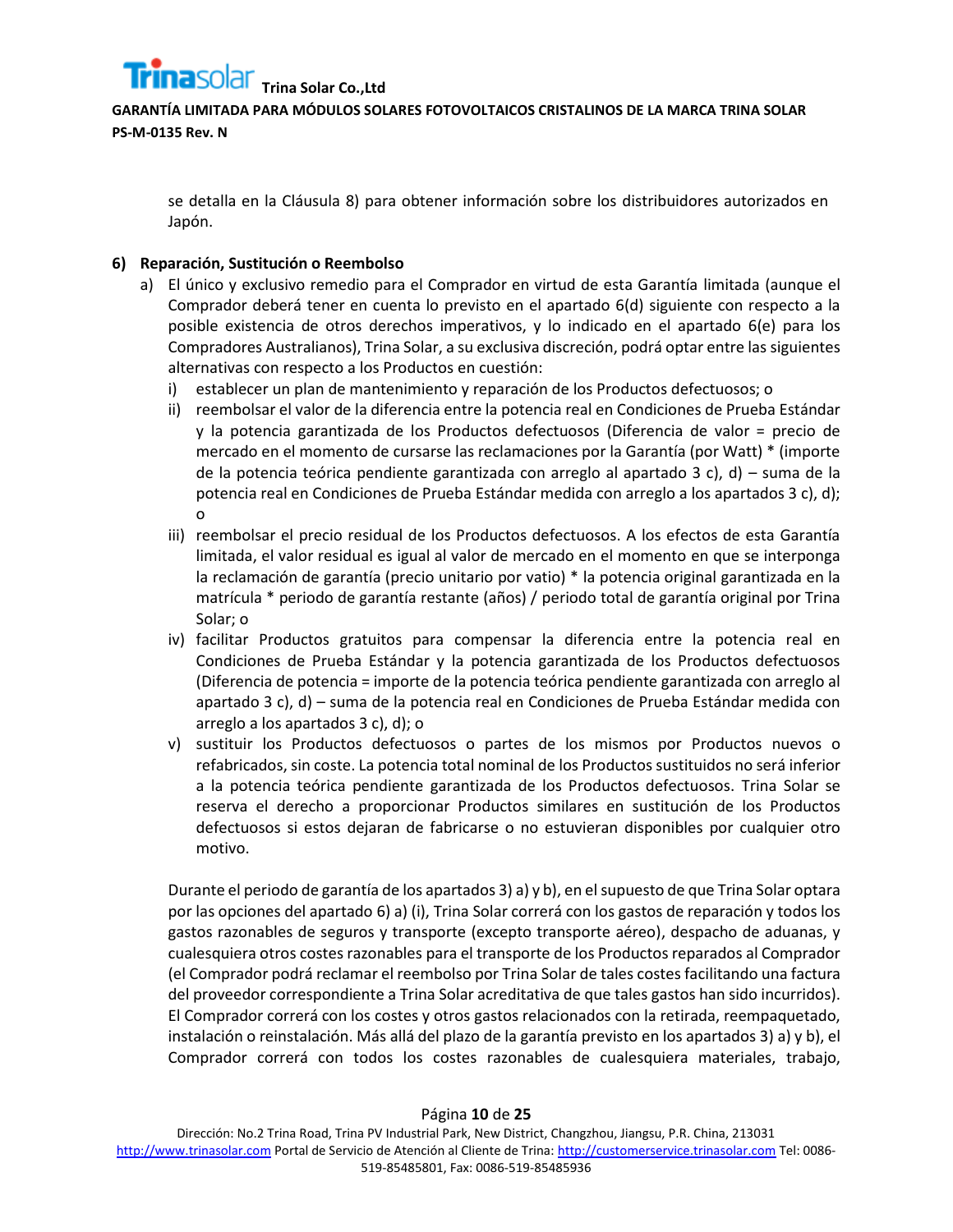

se detalla en la Cláusula 8) para obtener información sobre los distribuidores autorizados en Japón.

## **6) Reparación, Sustitución o Reembolso**

- a) El único y exclusivo remedio para el Comprador en virtud de esta Garantía limitada (aunque el Comprador deberá tener en cuenta lo previsto en el apartado 6(d) siguiente con respecto a la posible existencia de otros derechos imperativos, y lo indicado en el apartado 6(e) para los Compradores Australianos), Trina Solar, a su exclusiva discreción, podrá optar entre las siguientes alternativas con respecto a los Productos en cuestión:
	- i) establecer un plan de mantenimiento y reparación de los Productos defectuosos; o
	- ii) reembolsar el valor de la diferencia entre la potencia real en Condiciones de Prueba Estándar y la potencia garantizada de los Productos defectuosos (Diferencia de valor = precio de mercado en el momento de cursarse las reclamaciones por la Garantía (por Watt) \* (importe de la potencia teórica pendiente garantizada con arreglo al apartado 3 c), d) – suma de la potencia real en Condiciones de Prueba Estándar medida con arreglo a los apartados 3 c), d); o
	- iii) reembolsar el precio residual de los Productos defectuosos. A los efectos de esta Garantía limitada, el valor residual es igual al valor de mercado en el momento en que se interponga la reclamación de garantía (precio unitario por vatio) \* la potencia original garantizada en la matrícula \* periodo de garantía restante (años) / periodo total de garantía original por Trina Solar; o
	- iv) facilitar Productos gratuitos para compensar la diferencia entre la potencia real en Condiciones de Prueba Estándar y la potencia garantizada de los Productos defectuosos (Diferencia de potencia = importe de la potencia teórica pendiente garantizada con arreglo al apartado 3 c), d) – suma de la potencia real en Condiciones de Prueba Estándar medida con arreglo a los apartados 3 c), d); o
	- v) sustituir los Productos defectuosos o partes de los mismos por Productos nuevos o refabricados, sin coste. La potencia total nominal de los Productos sustituidos no será inferior a la potencia teórica pendiente garantizada de los Productos defectuosos. Trina Solar se reserva el derecho a proporcionar Productos similares en sustitución de los Productos defectuosos si estos dejaran de fabricarse o no estuvieran disponibles por cualquier otro motivo.

Durante el periodo de garantía de los apartados 3) a) y b), en el supuesto de que Trina Solar optara por las opciones del apartado 6) a) (i), Trina Solar correrá con los gastos de reparación y todos los gastos razonables de seguros y transporte (excepto transporte aéreo), despacho de aduanas, y cualesquiera otros costes razonables para el transporte de los Productos reparados al Comprador (el Comprador podrá reclamar el reembolso por Trina Solar de tales costes facilitando una factura del proveedor correspondiente a Trina Solar acreditativa de que tales gastos han sido incurridos). El Comprador correrá con los costes y otros gastos relacionados con la retirada, reempaquetado, instalación o reinstalación. Más allá del plazo de la garantía previsto en los apartados 3) a) y b), el Comprador correrá con todos los costes razonables de cualesquiera materiales, trabajo,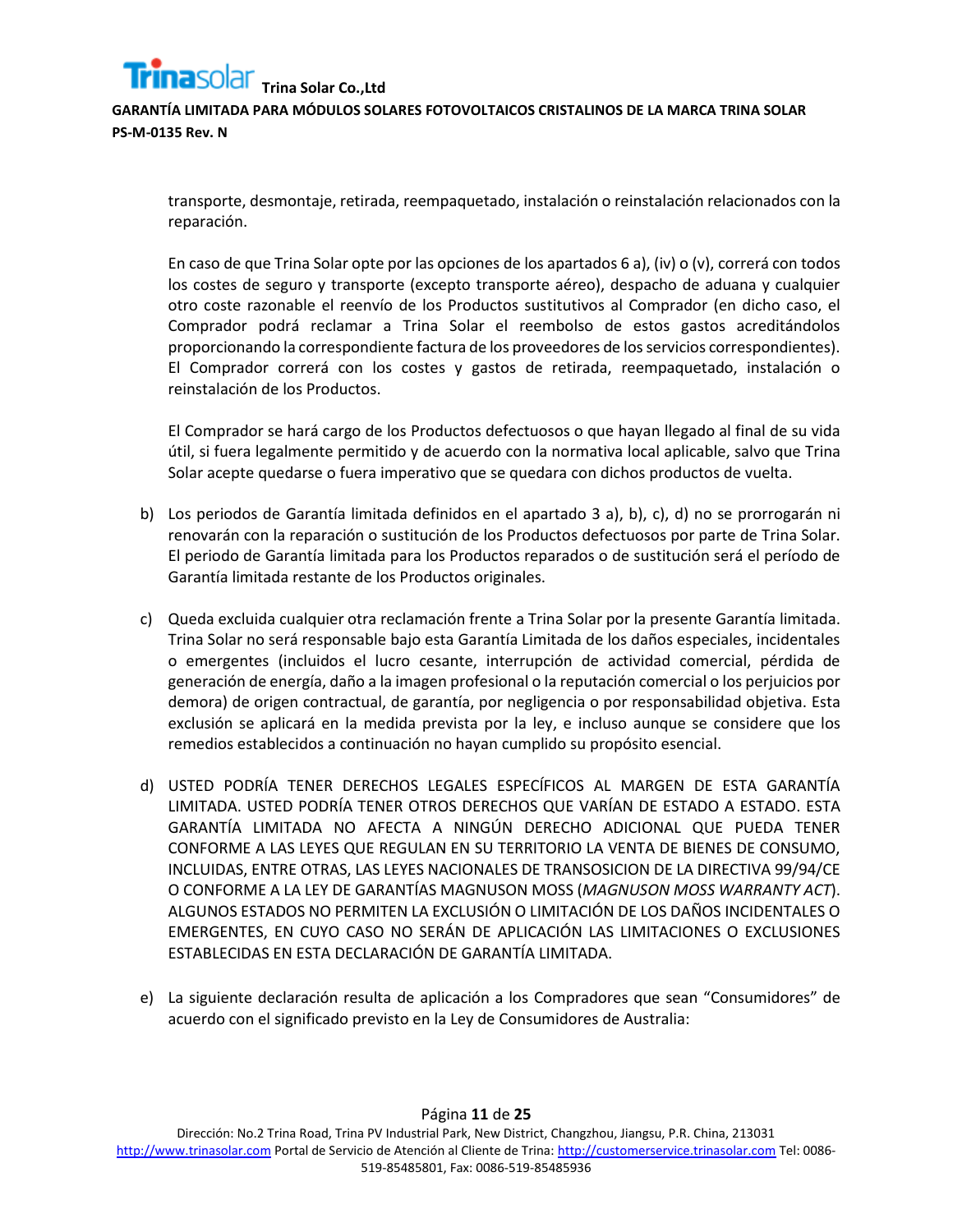**GARANTÍA LIMITADA PARA MÓDULOS SOLARES FOTOVOLTAICOS CRISTALINOS DE LA MARCA TRINA SOLAR PS-M-0135 Rev. N**

transporte, desmontaje, retirada, reempaquetado, instalación o reinstalación relacionados con la reparación.

En caso de que Trina Solar opte por las opciones de los apartados 6 a), (iv) o (v), correrá con todos los costes de seguro y transporte (excepto transporte aéreo), despacho de aduana y cualquier otro coste razonable el reenvío de los Productos sustitutivos al Comprador (en dicho caso, el Comprador podrá reclamar a Trina Solar el reembolso de estos gastos acreditándolos proporcionando la correspondiente factura de los proveedores de los servicios correspondientes). El Comprador correrá con los costes y gastos de retirada, reempaquetado, instalación o reinstalación de los Productos.

El Comprador se hará cargo de los Productos defectuosos o que hayan llegado al final de su vida útil, si fuera legalmente permitido y de acuerdo con la normativa local aplicable, salvo que Trina Solar acepte quedarse o fuera imperativo que se quedara con dichos productos de vuelta.

- b) Los periodos de Garantía limitada definidos en el apartado 3 a), b), c), d) no se prorrogarán ni renovarán con la reparación o sustitución de los Productos defectuosos por parte de Trina Solar. El periodo de Garantía limitada para los Productos reparados o de sustitución será el período de Garantía limitada restante de los Productos originales.
- c) Queda excluida cualquier otra reclamación frente a Trina Solar por la presente Garantía limitada. Trina Solar no será responsable bajo esta Garantía Limitada de los daños especiales, incidentales o emergentes (incluidos el lucro cesante, interrupción de actividad comercial, pérdida de generación de energía, daño a la imagen profesional o la reputación comercial o los perjuicios por demora) de origen contractual, de garantía, por negligencia o por responsabilidad objetiva. Esta exclusión se aplicará en la medida prevista por la ley, e incluso aunque se considere que los remedios establecidos a continuación no hayan cumplido su propósito esencial.
- d) USTED PODRÍA TENER DERECHOS LEGALES ESPECÍFICOS AL MARGEN DE ESTA GARANTÍA LIMITADA. USTED PODRÍA TENER OTROS DERECHOS QUE VARÍAN DE ESTADO A ESTADO. ESTA GARANTÍA LIMITADA NO AFECTA A NINGÚN DERECHO ADICIONAL QUE PUEDA TENER CONFORME A LAS LEYES QUE REGULAN EN SU TERRITORIO LA VENTA DE BIENES DE CONSUMO, INCLUIDAS, ENTRE OTRAS, LAS LEYES NACIONALES DE TRANSOSICION DE LA DIRECTIVA 99/94/CE O CONFORME A LA LEY DE GARANTÍAS MAGNUSON MOSS (*MAGNUSON MOSS WARRANTY ACT*). ALGUNOS ESTADOS NO PERMITEN LA EXCLUSIÓN O LIMITACIÓN DE LOS DAÑOS INCIDENTALES O EMERGENTES, EN CUYO CASO NO SERÁN DE APLICACIÓN LAS LIMITACIONES O EXCLUSIONES ESTABLECIDAS EN ESTA DECLARACIÓN DE GARANTÍA LIMITADA.
- e) La siguiente declaración resulta de aplicación a los Compradores que sean "Consumidores" de acuerdo con el significado previsto en la Ley de Consumidores de Australia: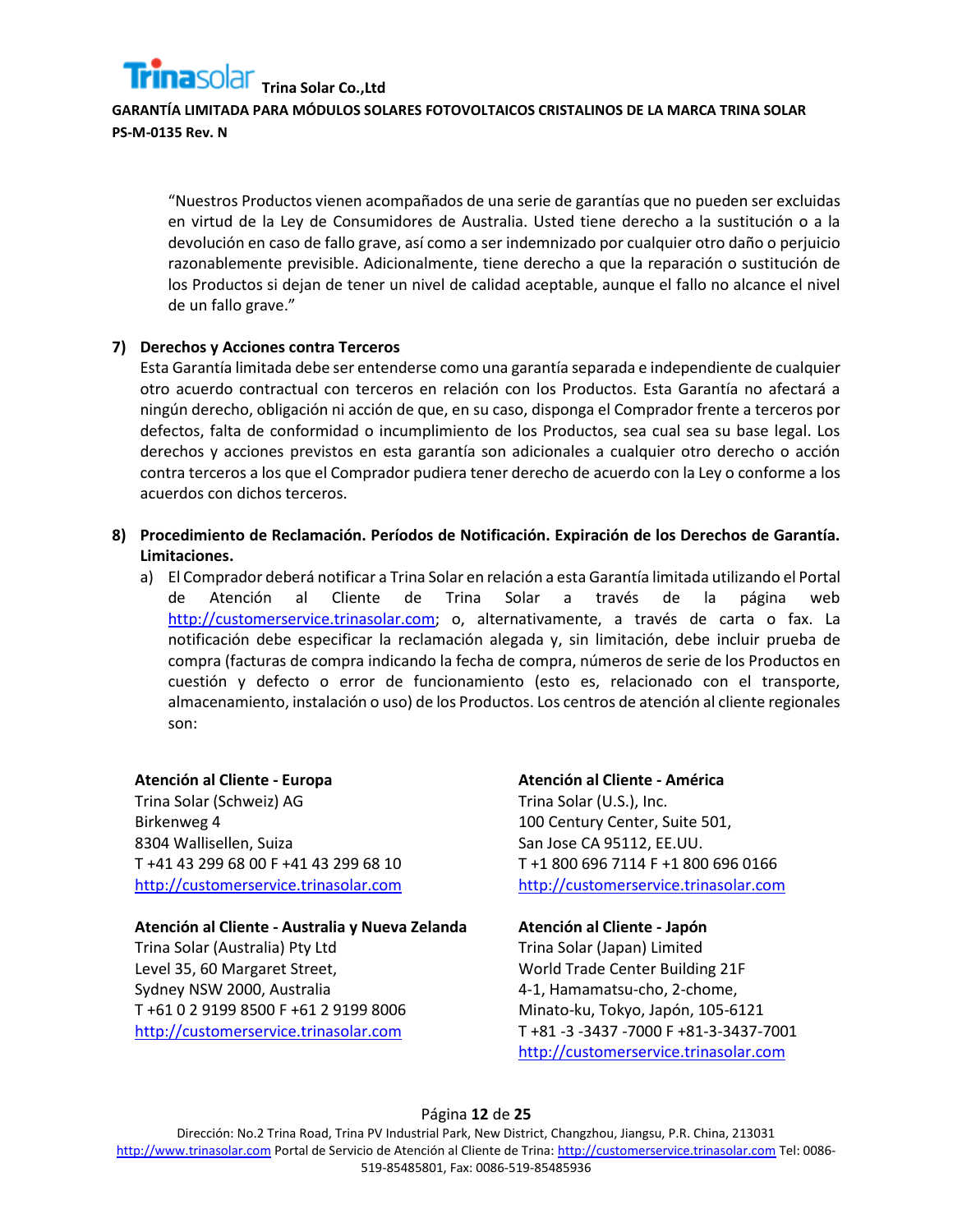**GARANTÍA LIMITADA PARA MÓDULOS SOLARES FOTOVOLTAICOS CRISTALINOS DE LA MARCA TRINA SOLAR PS-M-0135 Rev. N**

"Nuestros Productos vienen acompañados de una serie de garantías que no pueden ser excluidas en virtud de la Ley de Consumidores de Australia. Usted tiene derecho a la sustitución o a la devolución en caso de fallo grave, así como a ser indemnizado por cualquier otro daño o perjuicio razonablemente previsible. Adicionalmente, tiene derecho a que la reparación o sustitución de los Productos si dejan de tener un nivel de calidad aceptable, aunque el fallo no alcance el nivel de un fallo grave."

## **7) Derechos y Acciones contra Terceros**

Esta Garantía limitada debe ser entenderse como una garantía separada e independiente de cualquier otro acuerdo contractual con terceros en relación con los Productos. Esta Garantía no afectará a ningún derecho, obligación ni acción de que, en su caso, disponga el Comprador frente a terceros por defectos, falta de conformidad o incumplimiento de los Productos, sea cual sea su base legal. Los derechos y acciones previstos en esta garantía son adicionales a cualquier otro derecho o acción contra terceros a los que el Comprador pudiera tener derecho de acuerdo con la Ley o conforme a los acuerdos con dichos terceros.

- **8) Procedimiento de Reclamación. Períodos de Notificación. Expiración de los Derechos de Garantía. Limitaciones.**
	- a) El Comprador deberá notificar a Trina Solar en relación a esta Garantía limitada utilizando el Portal de Atención al Cliente de Trina Solar a través de la página web [http://customerservice.trinasolar.com;](http://customerservice.trinasolar.com/) o, alternativamente, a través de carta o fax. La notificación debe especificar la reclamación alegada y, sin limitación, debe incluir prueba de compra (facturas de compra indicando la fecha de compra, números de serie de los Productos en cuestión y defecto o error de funcionamiento (esto es, relacionado con el transporte, almacenamiento, instalación o uso) de los Productos. Los centros de atención al cliente regionales son:

## **Atención al Cliente - Europa**

Trina Solar (Schweiz) AG Birkenweg 4 8304 Wallisellen, Suiza T +41 43 299 68 00 F +41 43 299 68 10 [http://customerservice.trinasolar.com](http://customerservice.trinasolar.com/)

## **Atención al Cliente - Australia y Nueva Zelanda**

Trina Solar (Australia) Pty Ltd Level 35, 60 Margaret Street, Sydney NSW 2000, Australia T +61 0 2 9199 8500 F +61 2 9199 8006 [http://customerservice.trinasolar.com](http://customerservice.trinasolar.com/)

**Atención al Cliente - América** Trina Solar (U.S.), Inc. 100 Century Center, Suite 501, San Jose CA 95112, EE.UU. T +1 800 696 7114 F +1 800 696 0166 [http://customerservice.trinasolar.com](http://customerservice.trinasolar.com/)

#### **Atención al Cliente - Japón**

Trina Solar (Japan) Limited World Trade Center Building 21F 4-1, Hamamatsu-cho, 2-chome, Minato-ku, Tokyo, Japón, 105-6121 T +81 -3 -3437 -7000 F +81-3-3437-7001 [http://customerservice.trinasolar.com](http://customerservice.trinasolar.com/)

#### Página **12** de **25**

Dirección: No.2 Trina Road, Trina PV Industrial Park, New District, Changzhou, Jiangsu, P.R. China, 213031 [http://www.trinasolar.com](http://www.trinasolar.com/) Portal de Servicio de Atención al Cliente de Trina[: http://customerservice.trinasolar.com](http://customerservice.trinasolar.com/) Tel: 0086- 519-85485801, Fax: 0086-519-85485936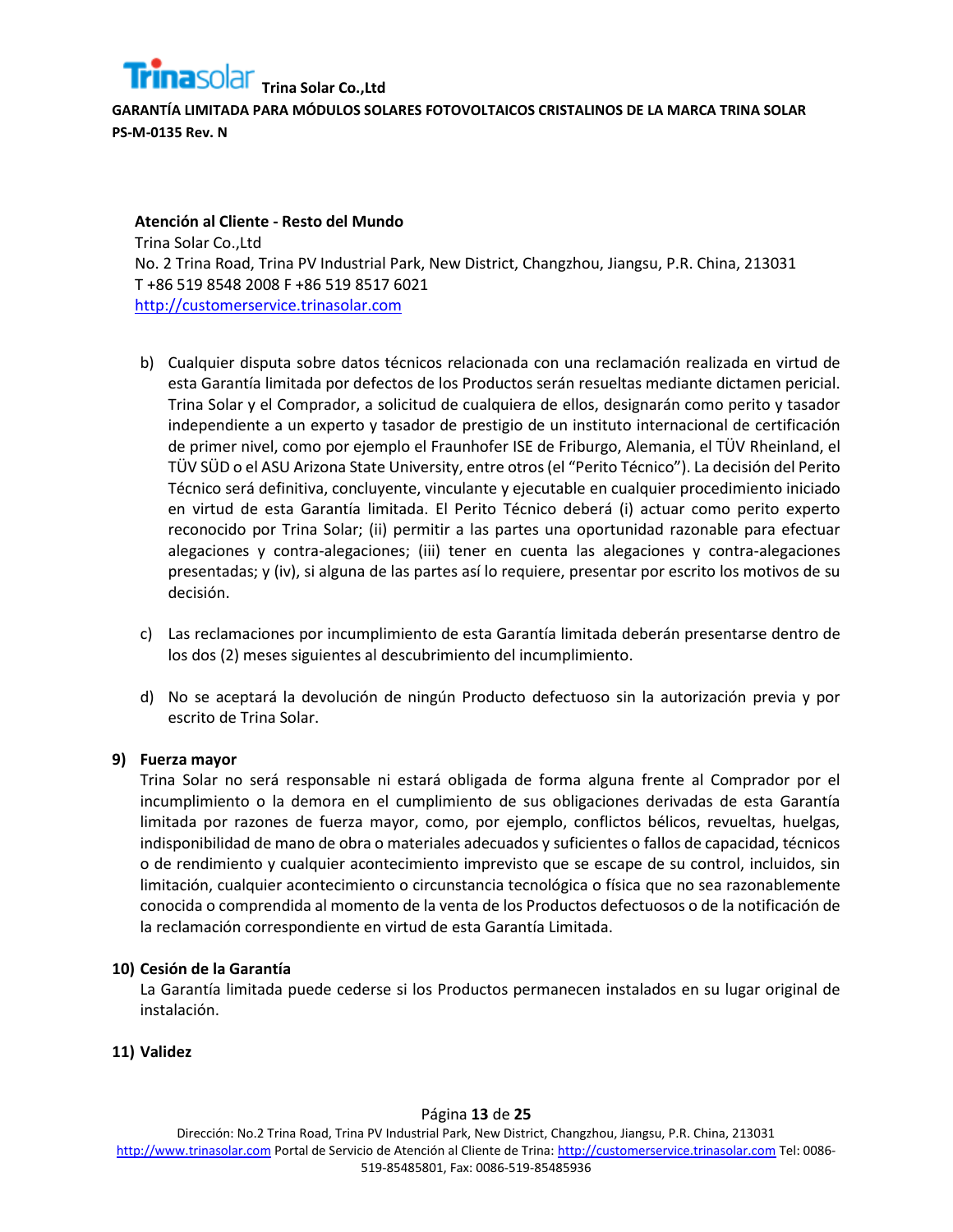

**Atención al Cliente - Resto del Mundo** Trina Solar Co.,Ltd No. 2 Trina Road, Trina PV Industrial Park, New District, Changzhou, Jiangsu, P.R. China, 213031 T +86 519 8548 2008 F +86 519 8517 6021 [http://customerservice.trinasolar.com](http://customerservice.trinasolar.com/)

- b) Cualquier disputa sobre datos técnicos relacionada con una reclamación realizada en virtud de esta Garantía limitada por defectos de los Productos serán resueltas mediante dictamen pericial. Trina Solar y el Comprador, a solicitud de cualquiera de ellos, designarán como perito y tasador independiente a un experto y tasador de prestigio de un instituto internacional de certificación de primer nivel, como por ejemplo el Fraunhofer ISE de Friburgo, Alemania, el TÜV Rheinland, el TÜV SÜD o el ASU Arizona State University, entre otros (el "Perito Técnico"). La decisión del Perito Técnico será definitiva, concluyente, vinculante y ejecutable en cualquier procedimiento iniciado en virtud de esta Garantía limitada. El Perito Técnico deberá (i) actuar como perito experto reconocido por Trina Solar; (ii) permitir a las partes una oportunidad razonable para efectuar alegaciones y contra-alegaciones; (iii) tener en cuenta las alegaciones y contra-alegaciones presentadas; y (iv), si alguna de las partes así lo requiere, presentar por escrito los motivos de su decisión.
- c) Las reclamaciones por incumplimiento de esta Garantía limitada deberán presentarse dentro de los dos (2) meses siguientes al descubrimiento del incumplimiento.
- d) No se aceptará la devolución de ningún Producto defectuoso sin la autorización previa y por escrito de Trina Solar.

## **9) Fuerza mayor**

Trina Solar no será responsable ni estará obligada de forma alguna frente al Comprador por el incumplimiento o la demora en el cumplimiento de sus obligaciones derivadas de esta Garantía limitada por razones de fuerza mayor, como, por ejemplo, conflictos bélicos, revueltas, huelgas, indisponibilidad de mano de obra o materiales adecuados y suficientes o fallos de capacidad, técnicos o de rendimiento y cualquier acontecimiento imprevisto que se escape de su control, incluidos, sin limitación, cualquier acontecimiento o circunstancia tecnológica o física que no sea razonablemente conocida o comprendida al momento de la venta de los Productos defectuosos o de la notificación de la reclamación correspondiente en virtud de esta Garantía Limitada.

## **10) Cesión de la Garantía**

La Garantía limitada puede cederse si los Productos permanecen instalados en su lugar original de instalación.

## **11) Validez**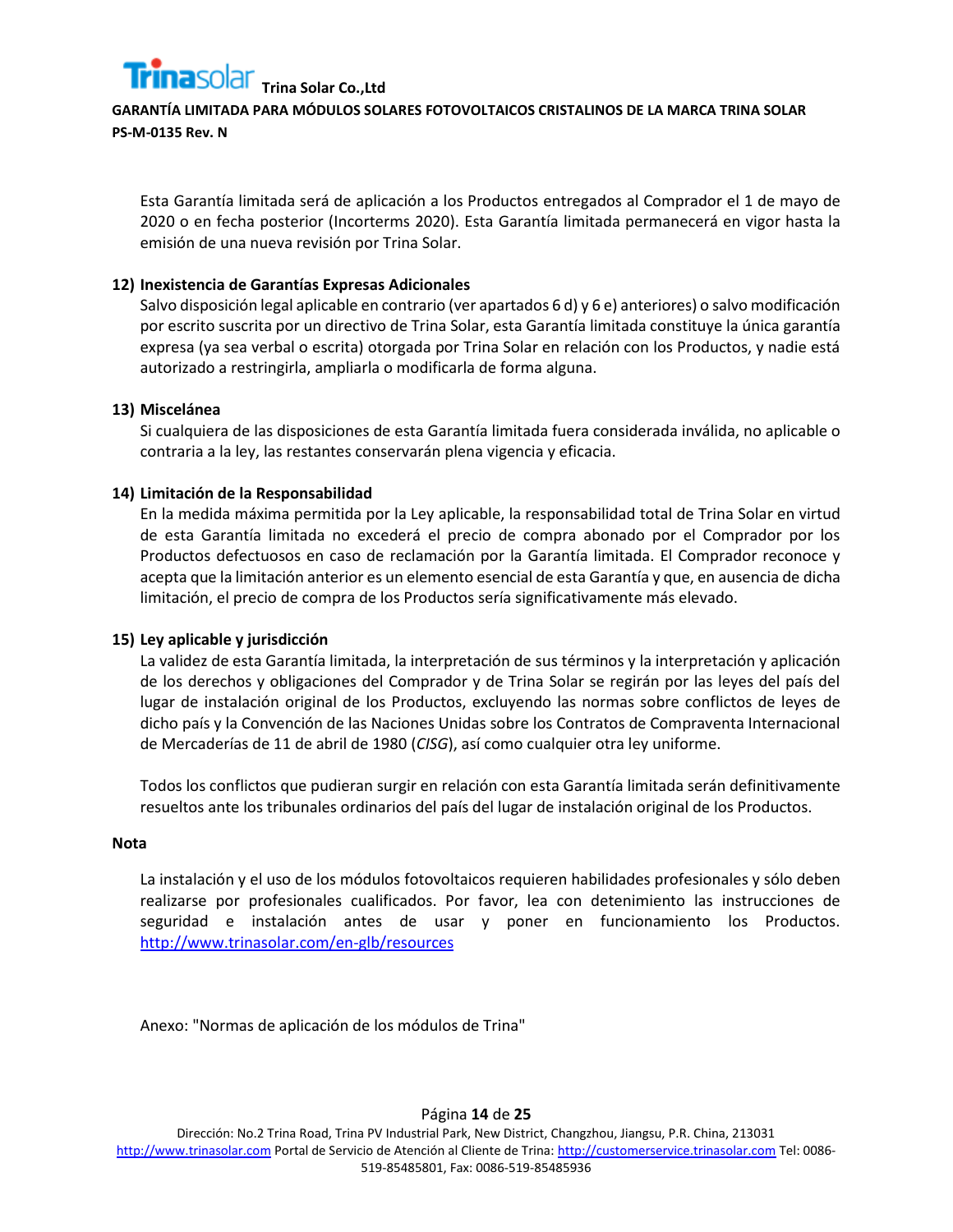

Esta Garantía limitada será de aplicación a los Productos entregados al Comprador el 1 de mayo de 2020 o en fecha posterior (Incorterms 2020). Esta Garantía limitada permanecerá en vigor hasta la emisión de una nueva revisión por Trina Solar.

## **12) Inexistencia de Garantías Expresas Adicionales**

Salvo disposición legal aplicable en contrario (ver apartados 6 d) y 6 e) anteriores) o salvo modificación por escrito suscrita por un directivo de Trina Solar, esta Garantía limitada constituye la única garantía expresa (ya sea verbal o escrita) otorgada por Trina Solar en relación con los Productos, y nadie está autorizado a restringirla, ampliarla o modificarla de forma alguna.

#### **13) Miscelánea**

Si cualquiera de las disposiciones de esta Garantía limitada fuera considerada inválida, no aplicable o contraria a la ley, las restantes conservarán plena vigencia y eficacia.

#### **14) Limitación de la Responsabilidad**

En la medida máxima permitida por la Ley aplicable, la responsabilidad total de Trina Solar en virtud de esta Garantía limitada no excederá el precio de compra abonado por el Comprador por los Productos defectuosos en caso de reclamación por la Garantía limitada. El Comprador reconoce y acepta que la limitación anterior es un elemento esencial de esta Garantía y que, en ausencia de dicha limitación, el precio de compra de los Productos sería significativamente más elevado.

#### **15) Ley aplicable y jurisdicción**

La validez de esta Garantía limitada, la interpretación de sus términos y la interpretación y aplicación de los derechos y obligaciones del Comprador y de Trina Solar se regirán por las leyes del país del lugar de instalación original de los Productos, excluyendo las normas sobre conflictos de leyes de dicho país y la Convención de las Naciones Unidas sobre los Contratos de Compraventa Internacional de Mercaderías de 11 de abril de 1980 (*CISG*), así como cualquier otra ley uniforme.

Todos los conflictos que pudieran surgir en relación con esta Garantía limitada serán definitivamente resueltos ante los tribunales ordinarios del país del lugar de instalación original de los Productos.

#### **Nota**

La instalación y el uso de los módulos fotovoltaicos requieren habilidades profesionales y sólo deben realizarse por profesionales cualificados. Por favor, lea con detenimiento las instrucciones de seguridad e instalación antes de usar y poner en funcionamiento los Productos. <http://www.trinasolar.com/en-glb/resources>

Anexo: "Normas de aplicación de los módulos de Trina"

Página **14** de **25**

Dirección: No.2 Trina Road, Trina PV Industrial Park, New District, Changzhou, Jiangsu, P.R. China, 213031 [http://www.trinasolar.com](http://www.trinasolar.com/) Portal de Servicio de Atención al Cliente de Trina[: http://customerservice.trinasolar.com](http://customerservice.trinasolar.com/) Tel: 0086- 519-85485801, Fax: 0086-519-85485936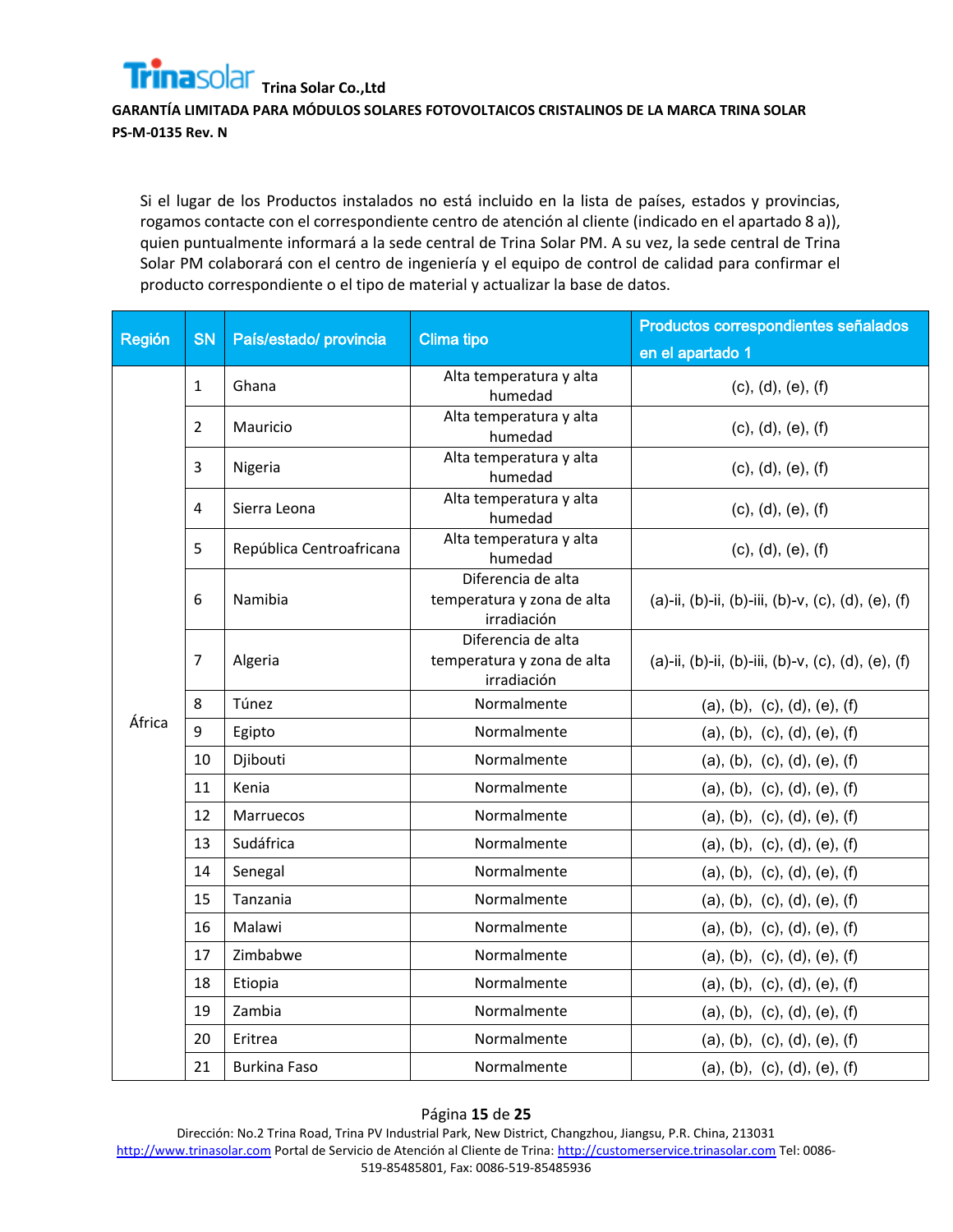**GARANTÍA LIMITADA PARA MÓDULOS SOLARES FOTOVOLTAICOS CRISTALINOS DE LA MARCA TRINA SOLAR PS-M-0135 Rev. N**

Si el lugar de los Productos instalados no está incluido en la lista de países, estados y provincias, rogamos contacte con el correspondiente centro de atención al cliente (indicado en el apartado 8 a)), quien puntualmente informará a la sede central de Trina Solar PM. A su vez, la sede central de Trina Solar PM colaborará con el centro de ingeniería y el equipo de control de calidad para confirmar el producto correspondiente o el tipo de material y actualizar la base de datos.

| Región | <b>SN</b>      | País/estado/ provincia   | <b>Clima tipo</b>                                               | Productos correspondientes señalados               |
|--------|----------------|--------------------------|-----------------------------------------------------------------|----------------------------------------------------|
|        |                |                          |                                                                 | en el apartado 1                                   |
|        | $\mathbf{1}$   | Ghana                    | Alta temperatura y alta<br>humedad                              | (c), (d), (e), (f)                                 |
|        | $\overline{2}$ | Mauricio                 | Alta temperatura y alta<br>humedad                              | (c), (d), (e), (f)                                 |
|        | 3              | Nigeria                  | Alta temperatura y alta<br>humedad                              | (c), (d), (e), (f)                                 |
|        | 4              | Sierra Leona             | Alta temperatura y alta<br>humedad                              | (c), (d), (e), (f)                                 |
|        | 5              | República Centroafricana | Alta temperatura y alta<br>humedad                              | (c), (d), (e), (f)                                 |
|        | 6              | Namibia                  | Diferencia de alta<br>temperatura y zona de alta<br>irradiación | (a)-ii, (b)-ii, (b)-iii, (b)-v, (c), (d), (e), (f) |
|        | 7              | Algeria                  | Diferencia de alta<br>temperatura y zona de alta<br>irradiación | (a)-ii, (b)-ii, (b)-iii, (b)-v, (c), (d), (e), (f) |
|        | 8              | Túnez                    | Normalmente                                                     | (a), (b), (c), (d), (e), (f)                       |
| África | 9              | Egipto                   | Normalmente                                                     | (a), (b), (c), (d), (e), (f)                       |
|        | 10             | Djibouti                 | Normalmente                                                     | (a), (b), (c), (d), (e), (f)                       |
|        | 11             | Kenia                    | Normalmente                                                     | (a), (b), (c), (d), (e), (f)                       |
|        | 12             | <b>Marruecos</b>         | Normalmente                                                     | (a), (b), (c), (d), (e), (f)                       |
|        | 13             | Sudáfrica                | Normalmente                                                     | (a), (b), (c), (d), (e), (f)                       |
|        | 14             | Senegal                  | Normalmente                                                     | (a), (b), (c), (d), (e), (f)                       |
|        | 15             | Tanzania                 | Normalmente                                                     | (a), (b), (c), (d), (e), (f)                       |
|        | 16             | Malawi                   | Normalmente                                                     | (a), (b), (c), (d), (e), (f)                       |
|        | 17             | Zimbabwe                 | Normalmente                                                     | (a), (b), (c), (d), (e), (f)                       |
|        | 18             | Etiopia                  | Normalmente                                                     | (a), (b), (c), (d), (e), (f)                       |
|        | 19             | Zambia                   | Normalmente                                                     | (a), (b), (c), (d), (e), (f)                       |
|        | 20             | Eritrea                  | Normalmente                                                     | (a), (b), (c), (d), (e), (f)                       |
|        | 21             | <b>Burkina Faso</b>      | Normalmente                                                     | (a), (b), (c), (d), (e), (f)                       |

#### Página **15** de **25**

Dirección: No.2 Trina Road, Trina PV Industrial Park, New District, Changzhou, Jiangsu, P.R. China, 213031 [http://www.trinasolar.com](http://www.trinasolar.com/) Portal de Servicio de Atención al Cliente de Trina[: http://customerservice.trinasolar.com](http://customerservice.trinasolar.com/) Tel: 0086- 519-85485801, Fax: 0086-519-85485936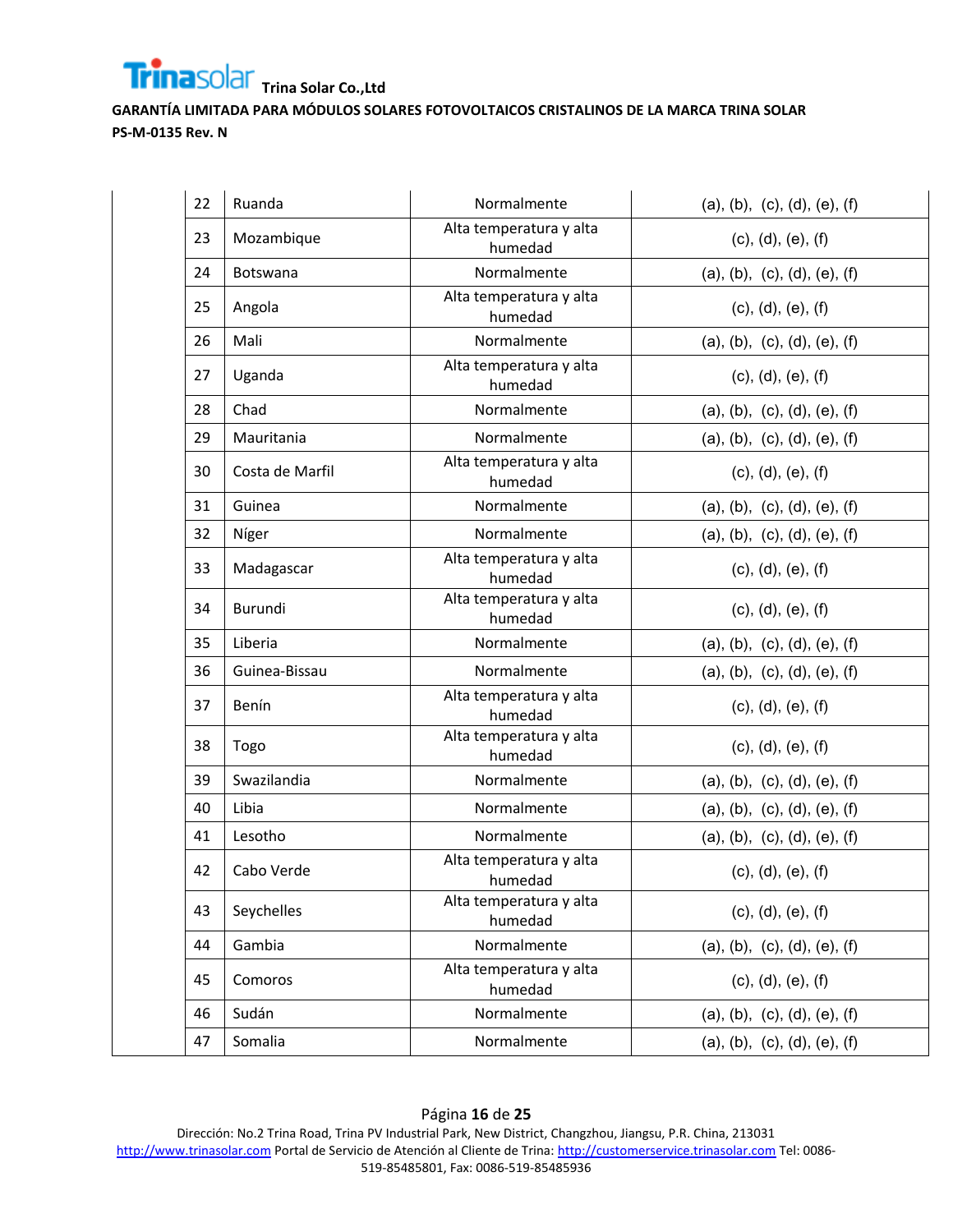**GARANTÍA LIMITADA PARA MÓDULOS SOLARES FOTOVOLTAICOS CRISTALINOS DE LA MARCA TRINA SOLAR PS-M-0135 Rev. N**

| 22 | Ruanda          | Normalmente                        | (a), (b), (c), (d), (e), (f) |
|----|-----------------|------------------------------------|------------------------------|
| 23 | Mozambique      | Alta temperatura y alta<br>humedad | (c), (d), (e), (f)           |
| 24 | Botswana        | Normalmente                        | (a), (b), (c), (d), (e), (f) |
| 25 | Angola          | Alta temperatura y alta<br>humedad | (c), (d), (e), (f)           |
| 26 | Mali            | Normalmente                        | (a), (b), (c), (d), (e), (f) |
| 27 | Uganda          | Alta temperatura y alta<br>humedad | (c), (d), (e), (f)           |
| 28 | Chad            | Normalmente                        | (a), (b), (c), (d), (e), (f) |
| 29 | Mauritania      | Normalmente                        | (a), (b), (c), (d), (e), (f) |
| 30 | Costa de Marfil | Alta temperatura y alta<br>humedad | (c), (d), (e), (f)           |
| 31 | Guinea          | Normalmente                        | (a), (b), (c), (d), (e), (f) |
| 32 | Níger           | Normalmente                        | (a), (b), (c), (d), (e), (f) |
| 33 | Madagascar      | Alta temperatura y alta<br>humedad | (c), (d), (e), (f)           |
| 34 | Burundi         | Alta temperatura y alta<br>humedad | (c), (d), (e), (f)           |
| 35 | Liberia         | Normalmente                        | (a), (b), (c), (d), (e), (f) |
| 36 | Guinea-Bissau   | Normalmente                        | (a), (b), (c), (d), (e), (f) |
| 37 | Benín           | Alta temperatura y alta<br>humedad | (c), (d), (e), (f)           |
| 38 | Togo            | Alta temperatura y alta<br>humedad | (c), (d), (e), (f)           |
| 39 | Swazilandia     | Normalmente                        | (a), (b), (c), (d), (e), (f) |
| 40 | Libia           | Normalmente                        | (a), (b), (c), (d), (e), (f) |
| 41 | Lesotho         | Normalmente                        | (a), (b), (c), (d), (e), (f) |
| 42 | Cabo Verde      | Alta temperatura y alta<br>humedad | (c), (d), (e), (f)           |
| 43 | Seychelles      | Alta temperatura y alta<br>humedad | (c), (d), (e), (f)           |
| 44 | Gambia          | Normalmente                        | (a), (b), (c), (d), (e), (f) |
| 45 | Comoros         | Alta temperatura y alta<br>humedad | (c), (d), (e), (f)           |
| 46 | Sudán           | Normalmente                        | (a), (b), (c), (d), (e), (f) |
| 47 | Somalia         | Normalmente                        | (a), (b), (c), (d), (e), (f) |

Página **16** de **25** Dirección: No.2 Trina Road, Trina PV Industrial Park, New District, Changzhou, Jiangsu, P.R. China, 213031 [http://www.trinasolar.com](http://www.trinasolar.com/) Portal de Servicio de Atención al Cliente de Trina[: http://customerservice.trinasolar.com](http://customerservice.trinasolar.com/) Tel: 0086-519-85485801, Fax: 0086-519-85485936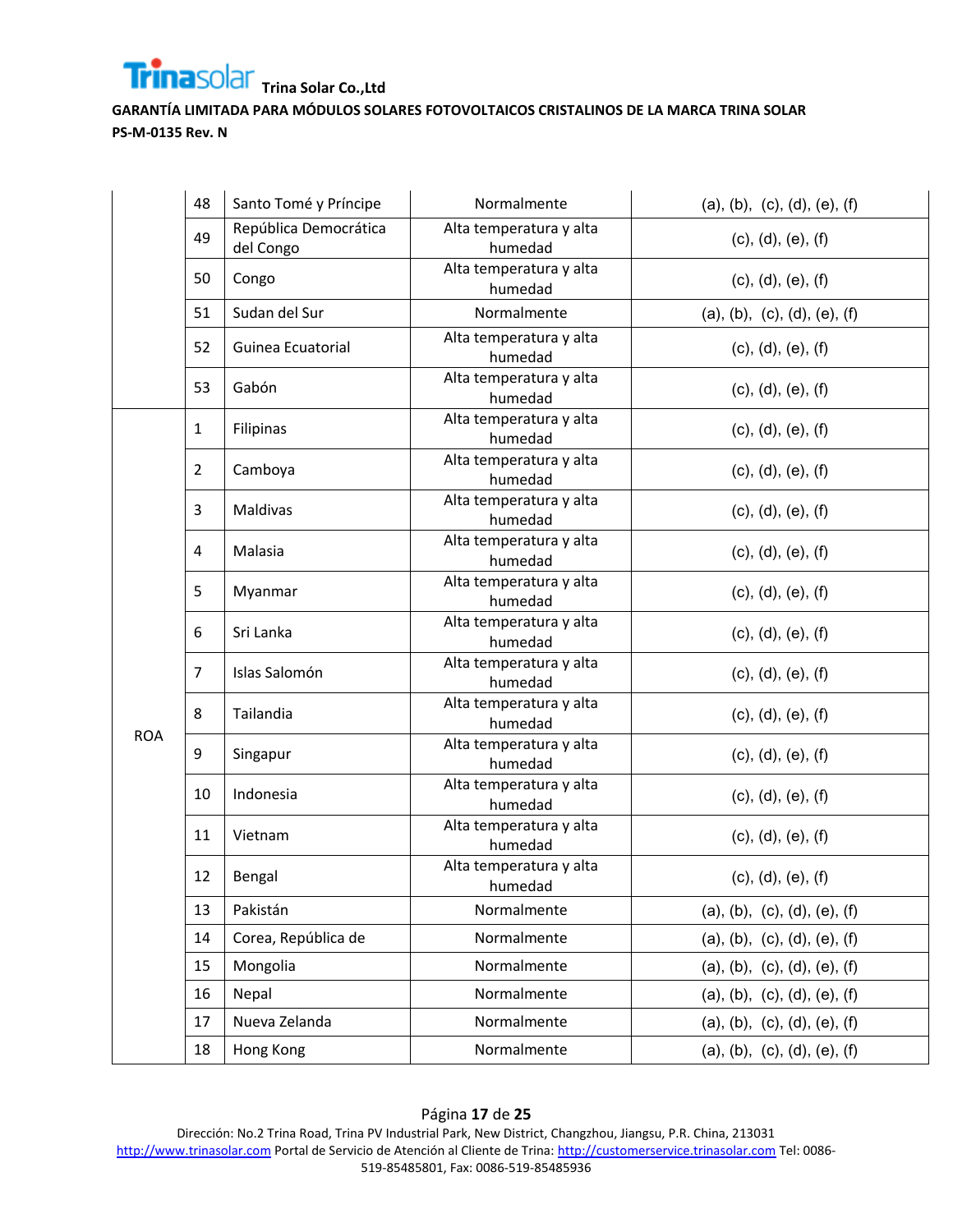

|            | 48             | Santo Tomé y Príncipe              | Normalmente                        | (a), (b), (c), (d), (e), (f) |
|------------|----------------|------------------------------------|------------------------------------|------------------------------|
|            | 49             | República Democrática<br>del Congo | Alta temperatura y alta<br>humedad | (c), (d), (e), (f)           |
|            | 50             | Congo                              | Alta temperatura y alta<br>humedad | (c), (d), (e), (f)           |
|            | 51             | Sudan del Sur                      | Normalmente                        | (a), (b), (c), (d), (e), (f) |
|            | 52             | Guinea Ecuatorial                  | Alta temperatura y alta<br>humedad | (c), (d), (e), (f)           |
|            | 53             | Gabón                              | Alta temperatura y alta<br>humedad | (c), (d), (e), (f)           |
|            | $\mathbf{1}$   | Filipinas                          | Alta temperatura y alta<br>humedad | (c), (d), (e), (f)           |
|            | 2              | Camboya                            | Alta temperatura y alta<br>humedad | (c), (d), (e), (f)           |
|            | 3              | Maldivas                           | Alta temperatura y alta<br>humedad | (c), (d), (e), (f)           |
|            | 4              | Malasia                            | Alta temperatura y alta<br>humedad | (c), (d), (e), (f)           |
|            | 5              | Myanmar                            | Alta temperatura y alta<br>humedad | (c), (d), (e), (f)           |
|            | 6              | Sri Lanka                          | Alta temperatura y alta<br>humedad | (c), (d), (e), (f)           |
|            | $\overline{7}$ | Islas Salomón                      | Alta temperatura y alta<br>humedad | (c), (d), (e), (f)           |
|            | 8              | Tailandia                          | Alta temperatura y alta<br>humedad | (c), (d), (e), (f)           |
| <b>ROA</b> | 9              | Singapur                           | Alta temperatura y alta<br>humedad | (c), (d), (e), (f)           |
|            | 10             | Indonesia                          | Alta temperatura y alta<br>humedad | (c), (d), (e), (f)           |
|            | 11             | Vietnam                            | Alta temperatura y alta<br>humedad | (c), (d), (e), (f)           |
|            | 12             | Bengal                             | Alta temperatura y alta<br>humedad | (c), (d), (e), (f)           |
|            | 13             | Pakistán                           | Normalmente                        | (a), (b), (c), (d), (e), (f) |
|            | 14             | Corea, República de                | Normalmente                        | (a), (b), (c), (d), (e), (f) |
|            | 15             | Mongolia                           | Normalmente                        | (a), (b), (c), (d), (e), (f) |
|            | 16             | Nepal                              | Normalmente                        | (a), (b), (c), (d), (e), (f) |
|            | 17             | Nueva Zelanda                      | Normalmente                        | (a), (b), (c), (d), (e), (f) |
|            | 18             | Hong Kong                          | Normalmente                        | (a), (b), (c), (d), (e), (f) |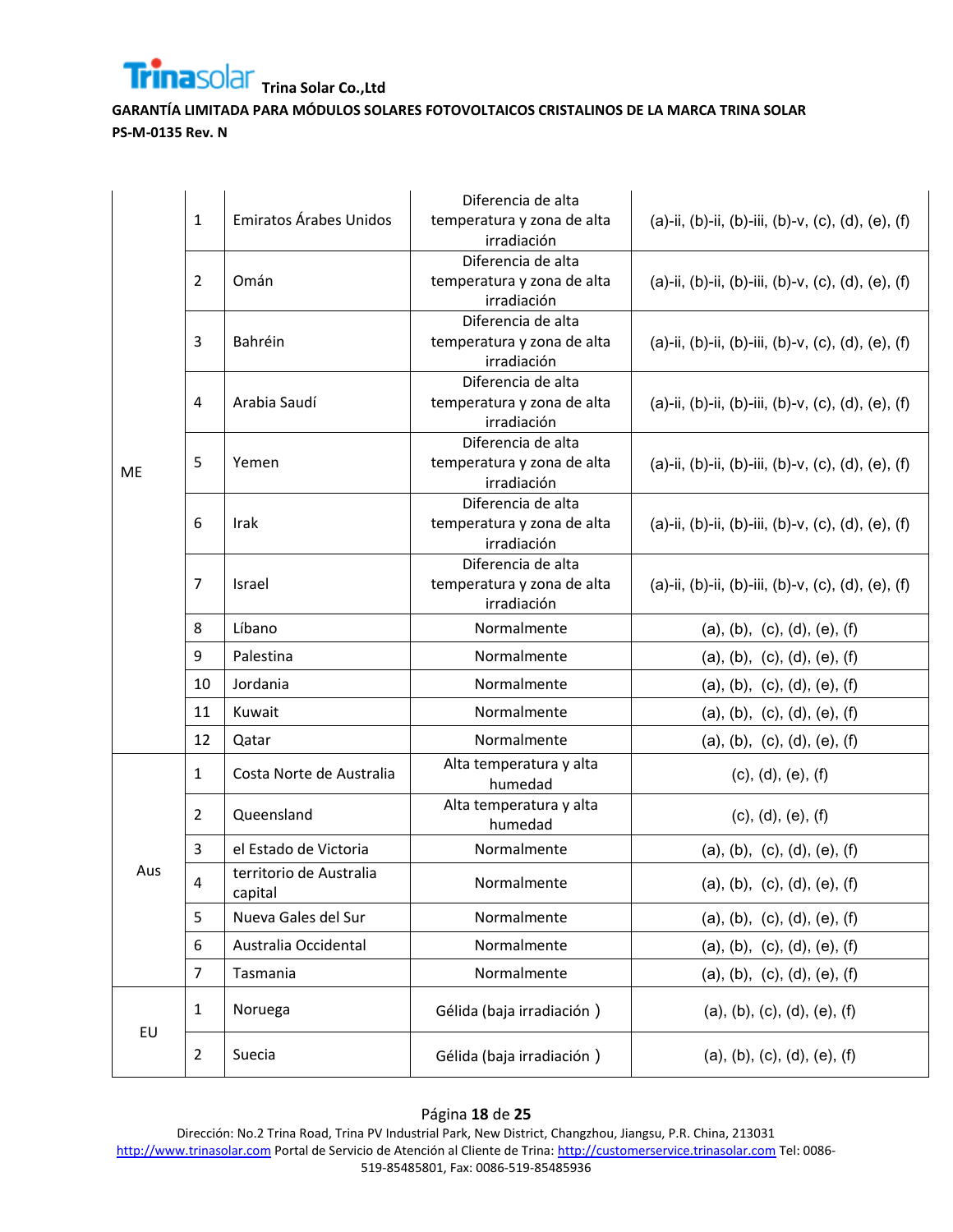

|           | 1              | Emiratos Árabes Unidos             | Diferencia de alta<br>temperatura y zona de alta<br>irradiación | (a)-ii, (b)-ii, (b)-iii, (b)-v, (c), (d), (e), (f) |
|-----------|----------------|------------------------------------|-----------------------------------------------------------------|----------------------------------------------------|
|           | 2              | Omán                               | Diferencia de alta<br>temperatura y zona de alta<br>irradiación | (a)-ii, (b)-ii, (b)-iii, (b)-v, (c), (d), (e), (f) |
|           | 3              | Bahréin                            | Diferencia de alta<br>temperatura y zona de alta<br>irradiación | (a)-ii, (b)-ii, (b)-iii, (b)-v, (c), (d), (e), (f) |
|           | 4              | Arabia Saudí                       | Diferencia de alta<br>temperatura y zona de alta<br>irradiación | (a)-ii, (b)-ii, (b)-iii, (b)-v, (c), (d), (e), (f) |
| <b>ME</b> | 5              | Yemen                              | Diferencia de alta<br>temperatura y zona de alta<br>irradiación | (a)-ii, (b)-ii, (b)-iii, (b)-v, (c), (d), (e), (f) |
|           | 6              | Irak                               | Diferencia de alta<br>temperatura y zona de alta<br>irradiación | (a)-ii, (b)-ii, (b)-iii, (b)-v, (c), (d), (e), (f) |
|           | 7              | Israel                             | Diferencia de alta<br>temperatura y zona de alta<br>irradiación | (a)-ii, (b)-ii, (b)-iii, (b)-v, (c), (d), (e), (f) |
|           | 8              | Líbano                             | Normalmente                                                     | (a), (b), (c), (d), (e), (f)                       |
|           | 9              | Palestina                          | Normalmente                                                     | (a), (b), (c), (d), (e), (f)                       |
|           | 10             | Jordania                           | Normalmente                                                     | (a), (b), (c), (d), (e), (f)                       |
|           | 11             | Kuwait                             | Normalmente                                                     | (a), (b), (c), (d), (e), (f)                       |
|           | 12             | Qatar                              | Normalmente                                                     | (a), (b), (c), (d), (e), (f)                       |
|           | 1              | Costa Norte de Australia           | Alta temperatura y alta<br>humedad                              | (c), (d), (e), (f)                                 |
|           | 2              | Queensland                         | Alta temperatura y alta<br>humedad                              | (c), (d), (e), (f)                                 |
|           | 3              | el Estado de Victoria              | Normalmente                                                     | (a), (b), (c), (d), (e), (f)                       |
| Aus       | 4              | territorio de Australia<br>capital | Normalmente                                                     | (a), (b), (c), (d), (e), (f)                       |
|           | 5              | Nueva Gales del Sur                | Normalmente                                                     | (a), (b), (c), (d), (e), (f)                       |
|           | 6              | Australia Occidental               | Normalmente                                                     | (a), (b), (c), (d), (e), (f)                       |
|           | $\overline{7}$ | Tasmania                           | Normalmente                                                     | (a), (b), (c), (d), (e), (f)                       |
|           | 1              | Noruega                            | Gélida (baja irradiación)                                       | (a), (b), (c), (d), (e), (f)                       |
| EU        | $\overline{2}$ | Suecia                             | Gélida (baja irradiación)                                       | (a), (b), (c), (d), (e), (f)                       |

## Página **18** de **25**

Dirección: No.2 Trina Road, Trina PV Industrial Park, New District, Changzhou, Jiangsu, P.R. China, 213031 [http://www.trinasolar.com](http://www.trinasolar.com/) Portal de Servicio de Atención al Cliente de Trina[: http://customerservice.trinasolar.com](http://customerservice.trinasolar.com/) Tel: 0086-519-85485801, Fax: 0086-519-85485936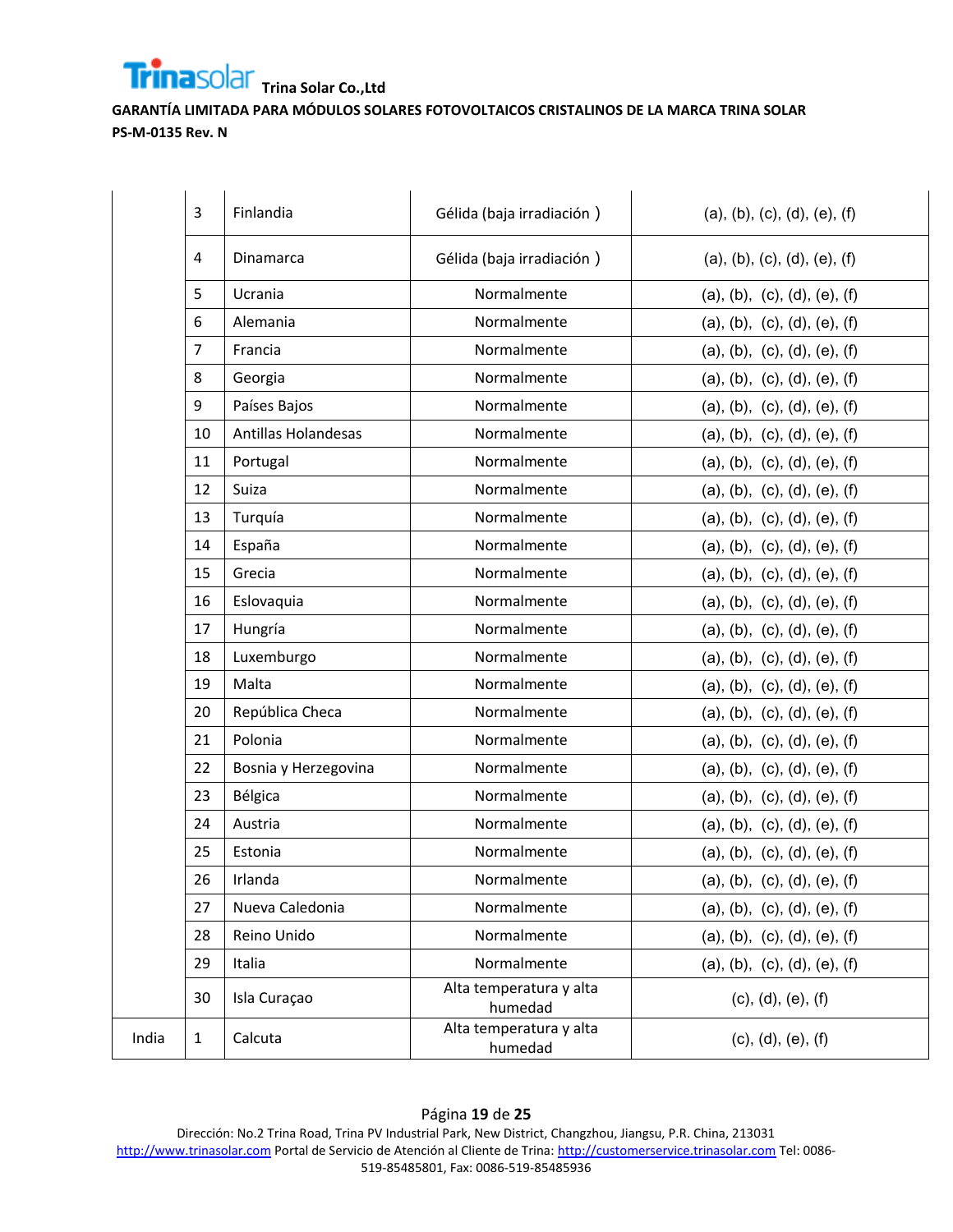**GARANTÍA LIMITADA PARA MÓDULOS SOLARES FOTOVOLTAICOS CRISTALINOS DE LA MARCA TRINA SOLAR PS-M-0135 Rev. N**

|       | 3              | Finlandia                  | Gélida (baja irradiación)          | (a), (b), (c), (d), (e), (f) |
|-------|----------------|----------------------------|------------------------------------|------------------------------|
|       | 4              | Dinamarca                  | Gélida (baja irradiación)          | (a), (b), (c), (d), (e), (f) |
|       | 5              | Ucrania                    | Normalmente                        | (a), (b), (c), (d), (e), (f) |
|       | 6              | Alemania                   | Normalmente                        | (a), (b), (c), (d), (e), (f) |
|       | $\overline{7}$ | Francia                    | Normalmente                        | (a), (b), (c), (d), (e), (f) |
|       | 8              | Georgia                    | Normalmente                        | (a), (b), (c), (d), (e), (f) |
|       | 9              | Países Bajos               | Normalmente                        | (a), (b), (c), (d), (e), (f) |
|       | 10             | <b>Antillas Holandesas</b> | Normalmente                        | (a), (b), (c), (d), (e), (f) |
|       | 11             | Portugal                   | Normalmente                        | (a), (b), (c), (d), (e), (f) |
|       | 12             | Suiza                      | Normalmente                        | (a), (b), (c), (d), (e), (f) |
|       | 13             | Turquía                    | Normalmente                        | (a), (b), (c), (d), (e), (f) |
|       | 14             | España                     | Normalmente                        | (a), (b), (c), (d), (e), (f) |
|       | 15             | Grecia                     | Normalmente                        | (a), (b), (c), (d), (e), (f) |
|       | 16             | Eslovaquia                 | Normalmente                        | (a), (b), (c), (d), (e), (f) |
|       | 17             | Hungría                    | Normalmente                        | (a), (b), (c), (d), (e), (f) |
|       | 18             | Luxemburgo                 | Normalmente                        | (a), (b), (c), (d), (e), (f) |
|       | 19             | Malta                      | Normalmente                        | (a), (b), (c), (d), (e), (f) |
|       | 20             | República Checa            | Normalmente                        | (a), (b), (c), (d), (e), (f) |
|       | 21             | Polonia                    | Normalmente                        | (a), (b), (c), (d), (e), (f) |
|       | 22             | Bosnia y Herzegovina       | Normalmente                        | (a), (b), (c), (d), (e), (f) |
|       | 23             | Bélgica                    | Normalmente                        | (a), (b), (c), (d), (e), (f) |
|       | 24             | Austria                    | Normalmente                        | (a), (b), (c), (d), (e), (f) |
|       | 25             | Estonia                    | Normalmente                        | (a), (b), (c), (d), (e), (f) |
|       | 26             | Irlanda                    | Normalmente                        | (a), (b), (c), (d), (e), (f) |
|       | 27             | Nueva Caledonia            | Normalmente                        | (a), (b), (c), (d), (e), (f) |
|       | 28             | Reino Unido                | Normalmente                        | (a), (b), (c), (d), (e), (f) |
|       | 29             | Italia                     | Normalmente                        | (a), (b), (c), (d), (e), (f) |
|       | 30             | Isla Curaçao               | Alta temperatura y alta<br>humedad | (c), (d), (e), (f)           |
| India | $\mathbf{1}$   | Calcuta                    | Alta temperatura y alta<br>humedad | (c), (d), (e), (f)           |

Dirección: No.2 Trina Road, Trina PV Industrial Park, New District, Changzhou, Jiangsu, P.R. China, 213031 [http://www.trinasolar.com](http://www.trinasolar.com/) Portal de Servicio de Atención al Cliente de Trina[: http://customerservice.trinasolar.com](http://customerservice.trinasolar.com/) Tel: 0086-519-85485801, Fax: 0086-519-85485936

#### Página **19** de **25**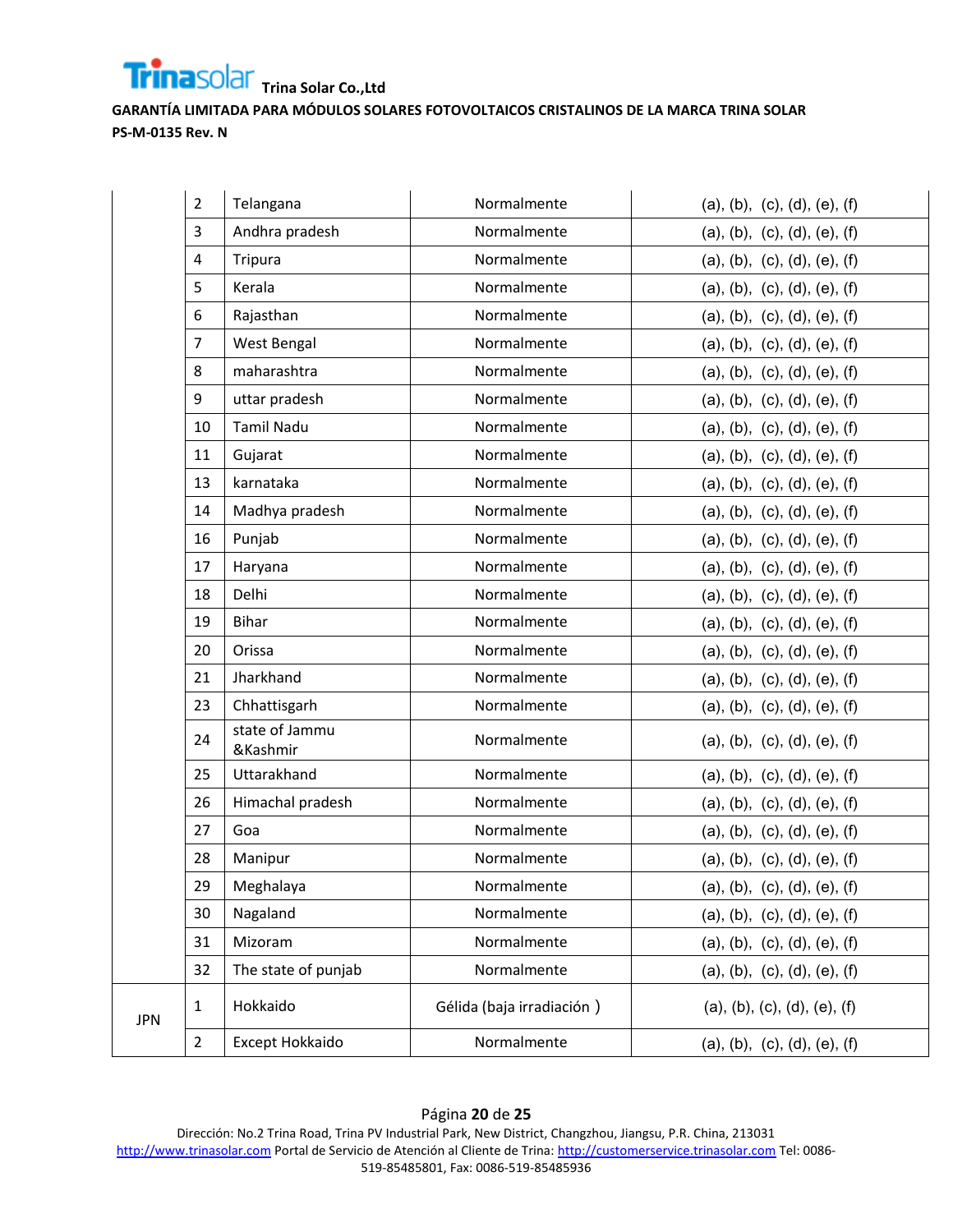

|            | $\overline{2}$ | Telangana                  | Normalmente               | (a), (b), (c), (d), (e), (f) |
|------------|----------------|----------------------------|---------------------------|------------------------------|
|            | 3              | Andhra pradesh             | Normalmente               | (a), (b), (c), (d), (e), (f) |
|            | $\overline{4}$ | Tripura                    | Normalmente               | (a), (b), (c), (d), (e), (f) |
|            | 5              | Kerala                     | Normalmente               | (a), (b), (c), (d), (e), (f) |
|            | 6              | Rajasthan                  | Normalmente               | (a), (b), (c), (d), (e), (f) |
|            | $\overline{7}$ | West Bengal                | Normalmente               | (a), (b), (c), (d), (e), (f) |
|            | 8              | maharashtra                | Normalmente               | (a), (b), (c), (d), (e), (f) |
|            | 9              | uttar pradesh              | Normalmente               | (a), (b), (c), (d), (e), (f) |
|            | 10             | <b>Tamil Nadu</b>          | Normalmente               | (a), (b), (c), (d), (e), (f) |
|            | 11             | Gujarat                    | Normalmente               | (a), (b), (c), (d), (e), (f) |
|            | 13             | karnataka                  | Normalmente               | (a), (b), (c), (d), (e), (f) |
|            | 14             | Madhya pradesh             | Normalmente               | (a), (b), (c), (d), (e), (f) |
|            | 16             | Punjab                     | Normalmente               | (a), (b), (c), (d), (e), (f) |
|            | 17             | Haryana                    | Normalmente               | (a), (b), (c), (d), (e), (f) |
|            | 18             | Delhi                      | Normalmente               | (a), (b), (c), (d), (e), (f) |
|            | 19             | <b>Bihar</b>               | Normalmente               | (a), (b), (c), (d), (e), (f) |
|            | 20             | Orissa                     | Normalmente               | (a), (b), (c), (d), (e), (f) |
|            | 21             | Jharkhand                  | Normalmente               | (a), (b), (c), (d), (e), (f) |
|            | 23             | Chhattisgarh               | Normalmente               | (a), (b), (c), (d), (e), (f) |
|            | 24             | state of Jammu<br>&Kashmir | Normalmente               | (a), (b), (c), (d), (e), (f) |
|            | 25             | Uttarakhand                | Normalmente               | (a), (b), (c), (d), (e), (f) |
|            | 26             | Himachal pradesh           | Normalmente               | (a), (b), (c), (d), (e), (f) |
|            | 27             | Goa                        | Normalmente               | (a), (b), (c), (d), (e), (f) |
|            | 28             | Manipur                    | Normalmente               | (a), (b), (c), (d), (e), (f) |
|            | 29             | Meghalaya                  | Normalmente               | (a), (b), (c), (d), (e), (f) |
|            | 30             | Nagaland                   | Normalmente               | (a), (b), (c), (d), (e), (f) |
|            | 31             | Mizoram                    | Normalmente               | (a), (b), (c), (d), (e), (f) |
|            | 32             | The state of punjab        | Normalmente               | (a), (b), (c), (d), (e), (f) |
| <b>JPN</b> | $\mathbf{1}$   | Hokkaido                   | Gélida (baja irradiación) | (a), (b), (c), (d), (e), (f) |
|            | $\overline{2}$ | Except Hokkaido            | Normalmente               | (a), (b), (c), (d), (e), (f) |

## Página **20** de **25**

Dirección: No.2 Trina Road, Trina PV Industrial Park, New District, Changzhou, Jiangsu, P.R. China, 213031 [http://www.trinasolar.com](http://www.trinasolar.com/) Portal de Servicio de Atención al Cliente de Trina[: http://customerservice.trinasolar.com](http://customerservice.trinasolar.com/) Tel: 0086-519-85485801, Fax: 0086-519-85485936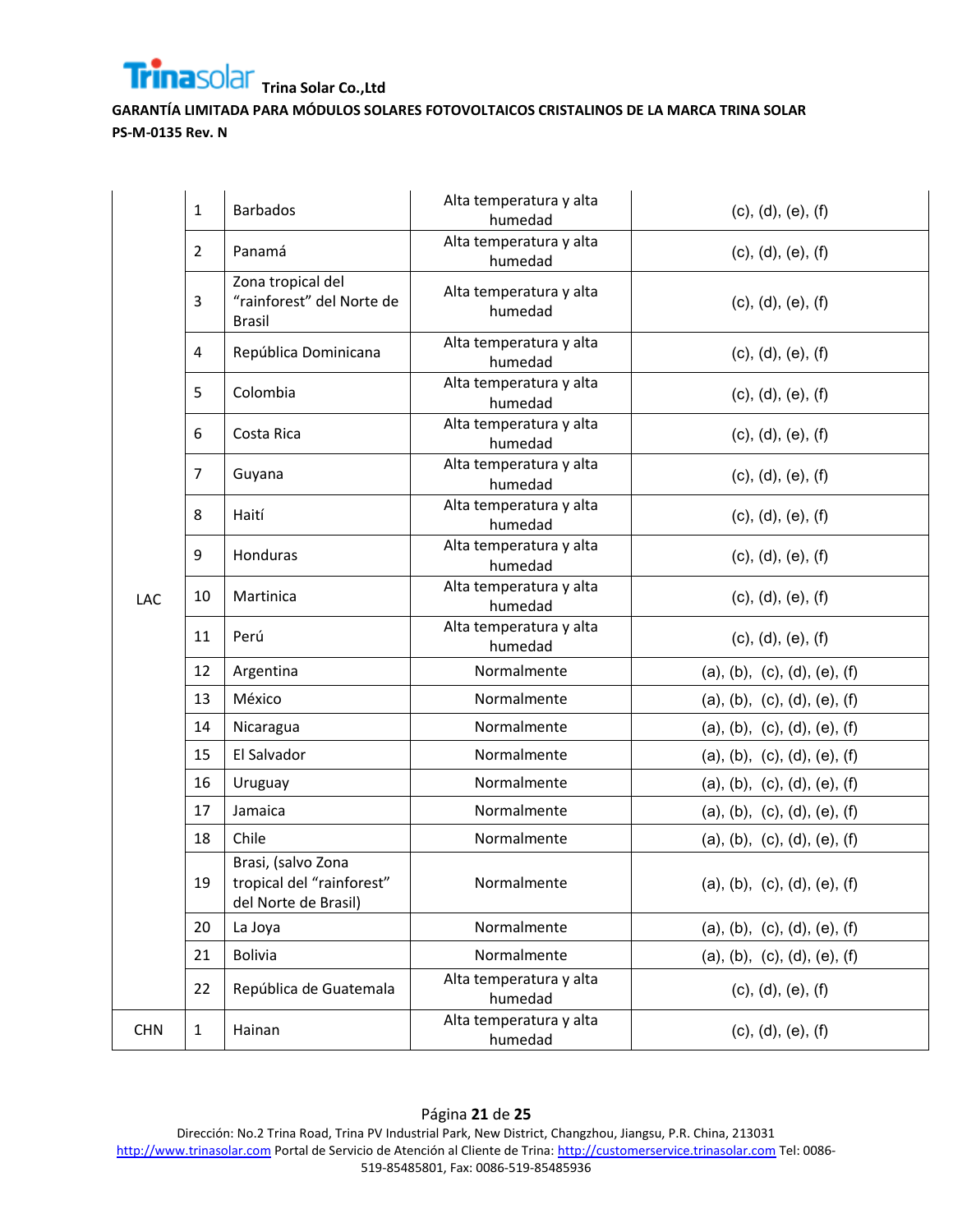

|            | 1              | <b>Barbados</b>                                                         | Alta temperatura y alta<br>humedad | (c), (d), (e), (f)           |
|------------|----------------|-------------------------------------------------------------------------|------------------------------------|------------------------------|
|            | $\overline{2}$ | Panamá                                                                  | Alta temperatura y alta<br>humedad | (c), (d), (e), (f)           |
|            | 3              | Zona tropical del<br>"rainforest" del Norte de<br><b>Brasil</b>         | Alta temperatura y alta<br>humedad | (c), (d), (e), (f)           |
|            | 4              | República Dominicana                                                    | Alta temperatura y alta<br>humedad | (c), (d), (e), (f)           |
|            | 5              | Colombia                                                                | Alta temperatura y alta<br>humedad | (c), (d), (e), (f)           |
|            | 6              | Costa Rica                                                              | Alta temperatura y alta<br>humedad | (c), (d), (e), (f)           |
|            | 7              | Guyana                                                                  | Alta temperatura y alta<br>humedad | (c), (d), (e), (f)           |
|            | 8              | Haití                                                                   | Alta temperatura y alta<br>humedad | (c), (d), (e), (f)           |
|            | 9              | Honduras                                                                | Alta temperatura y alta<br>humedad | (c), (d), (e), (f)           |
| LAC        | 10             | Martinica                                                               | Alta temperatura y alta<br>humedad | (c), (d), (e), (f)           |
|            | 11             | Perú                                                                    | Alta temperatura y alta<br>humedad | (c), (d), (e), (f)           |
|            | 12             | Argentina                                                               | Normalmente                        | (a), (b), (c), (d), (e), (f) |
|            | 13             | México                                                                  | Normalmente                        | (a), (b), (c), (d), (e), (f) |
|            | 14             | Nicaragua                                                               | Normalmente                        | (a), (b), (c), (d), (e), (f) |
|            | 15             | El Salvador                                                             | Normalmente                        | (a), (b), (c), (d), (e), (f) |
|            | 16             | Uruguay                                                                 | Normalmente                        | (a), (b), (c), (d), (e), (f) |
|            | 17             | Jamaica                                                                 | Normalmente                        | (a), (b), (c), (d), (e), (f) |
|            | 18             | Chile                                                                   | Normalmente                        | (a), (b), (c), (d), (e), (f) |
|            | 19             | Brasi, (salvo Zona<br>tropical del "rainforest"<br>del Norte de Brasil) | Normalmente                        | (a), (b), (c), (d), (e), (f) |
|            | 20             | La Joya                                                                 | Normalmente                        | (a), (b), (c), (d), (e), (f) |
|            | 21             | <b>Bolivia</b>                                                          | Normalmente                        | (a), (b), (c), (d), (e), (f) |
|            | 22             | República de Guatemala                                                  | Alta temperatura y alta<br>humedad | (c), (d), (e), (f)           |
| <b>CHN</b> | $\mathbf{1}$   | Hainan                                                                  | Alta temperatura y alta<br>humedad | (c), (d), (e), (f)           |

Página **21** de **25** Dirección: No.2 Trina Road, Trina PV Industrial Park, New District, Changzhou, Jiangsu, P.R. China, 213031 [http://www.trinasolar.com](http://www.trinasolar.com/) Portal de Servicio de Atención al Cliente de Trina[: http://customerservice.trinasolar.com](http://customerservice.trinasolar.com/) Tel: 0086-519-85485801, Fax: 0086-519-85485936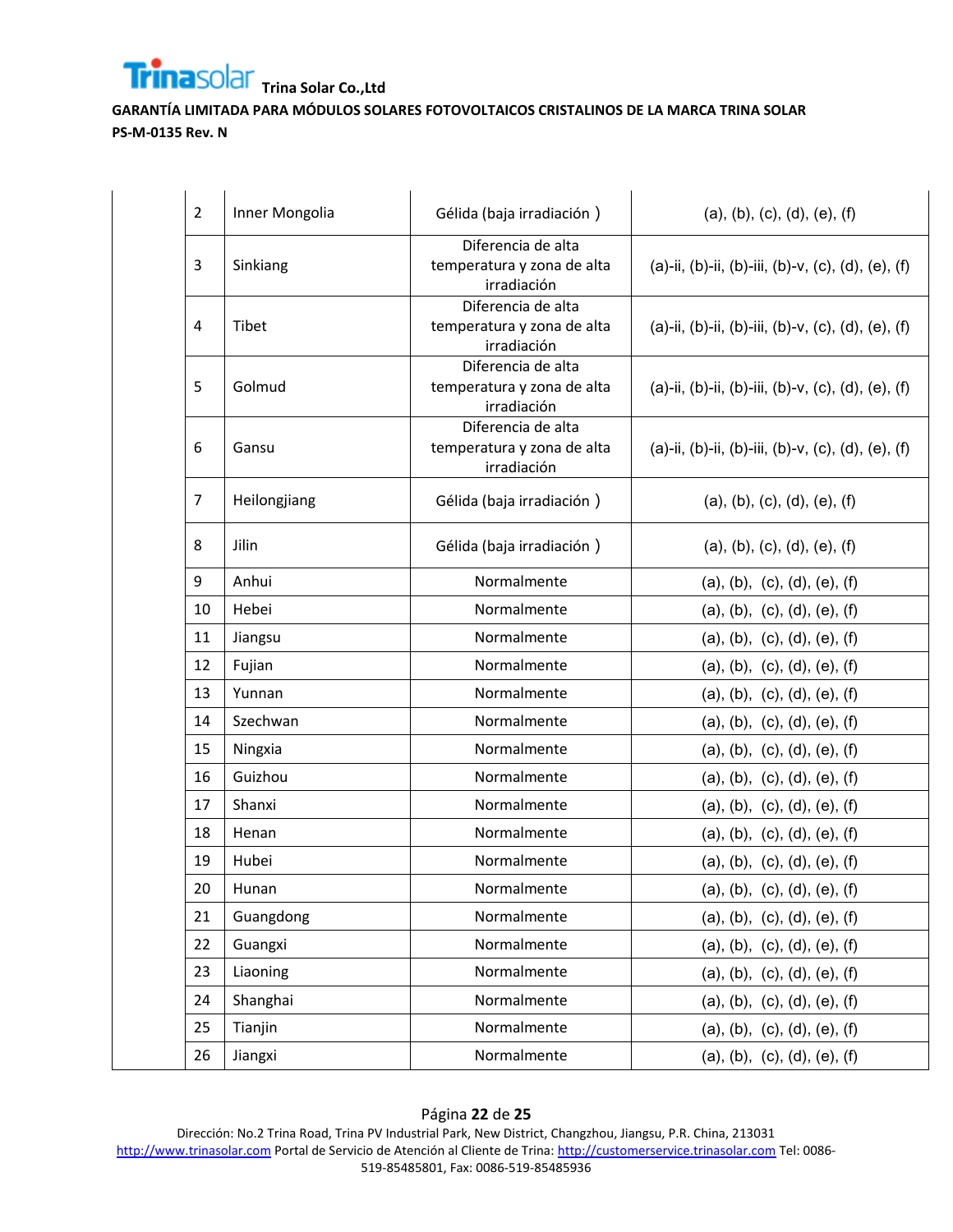

| $\overline{2}$ | Inner Mongolia | Gélida (baja irradiación)                                       | (a), (b), (c), (d), (e), (f)                       |
|----------------|----------------|-----------------------------------------------------------------|----------------------------------------------------|
| 3              | Sinkiang       | Diferencia de alta<br>temperatura y zona de alta<br>irradiación | (a)-ii, (b)-ii, (b)-iii, (b)-v, (c), (d), (e), (f) |
| 4              | Tibet          | Diferencia de alta<br>temperatura y zona de alta<br>irradiación | (a)-ii, (b)-ii, (b)-iii, (b)-v, (c), (d), (e), (f) |
| 5              | Golmud         | Diferencia de alta<br>temperatura y zona de alta<br>irradiación | (a)-ii, (b)-ii, (b)-iii, (b)-v, (c), (d), (e), (f) |
| 6              | Gansu          | Diferencia de alta<br>temperatura y zona de alta<br>irradiación | (a)-ii, (b)-ii, (b)-iii, (b)-v, (c), (d), (e), (f) |
| $\overline{7}$ | Heilongjiang   | Gélida (baja irradiación)                                       | (a), (b), (c), (d), (e), (f)                       |
| 8              | Jilin          | Gélida (baja irradiación)                                       | (a), (b), (c), (d), (e), (f)                       |
| 9              | Anhui          | Normalmente                                                     | (a), (b), (c), (d), (e), (f)                       |
| 10             | Hebei          | Normalmente                                                     | (a), (b), (c), (d), (e), (f)                       |
| 11             | Jiangsu        | Normalmente                                                     | (a), (b), (c), (d), (e), (f)                       |
| 12             | Fujian         | Normalmente                                                     | (a), (b), (c), (d), (e), (f)                       |
| 13             | Yunnan         | Normalmente                                                     | (a), (b), (c), (d), (e), (f)                       |
| 14             | Szechwan       | Normalmente                                                     | (a), (b), (c), (d), (e), (f)                       |
| 15             | Ningxia        | Normalmente                                                     | (a), (b), (c), (d), (e), (f)                       |
| 16             | Guizhou        | Normalmente                                                     | (a), (b), (c), (d), (e), (f)                       |
| 17             | Shanxi         | Normalmente                                                     | (a), (b), (c), (d), (e), (f)                       |
| 18             | Henan          | Normalmente                                                     | (a), (b), (c), (d), (e), (f)                       |
| 19             | Hubei          | Normalmente                                                     | (a), (b), (c), (d), (e), (f)                       |
| 20             | Hunan          | Normalmente                                                     | (a), (b), (c), (d), (e), (f)                       |
| 21             | Guangdong      | Normalmente                                                     | (a), (b), (c), (d), (e), (f)                       |
| 22             | Guangxi        | Normalmente                                                     | (a), (b), (c), (d), (e), (f)                       |
| 23             | Liaoning       | Normalmente                                                     | (a), (b), (c), (d), (e), (f)                       |
| 24             | Shanghai       | Normalmente                                                     | (a), (b), (c), (d), (e), (f)                       |
| 25             | Tianjin        | Normalmente                                                     | (a), (b), (c), (d), (e), (f)                       |
| 26             | Jiangxi        | Normalmente                                                     | (a), (b), (c), (d), (e), (f)                       |

#### Página **22** de **25** Dirección: No.2 Trina Road, Trina PV Industrial Park, New District, Changzhou, Jiangsu, P.R. China, 213031 [http://www.trinasolar.com](http://www.trinasolar.com/) Portal de Servicio de Atención al Cliente de Trina[: http://customerservice.trinasolar.com](http://customerservice.trinasolar.com/) Tel: 0086-519-85485801, Fax: 0086-519-85485936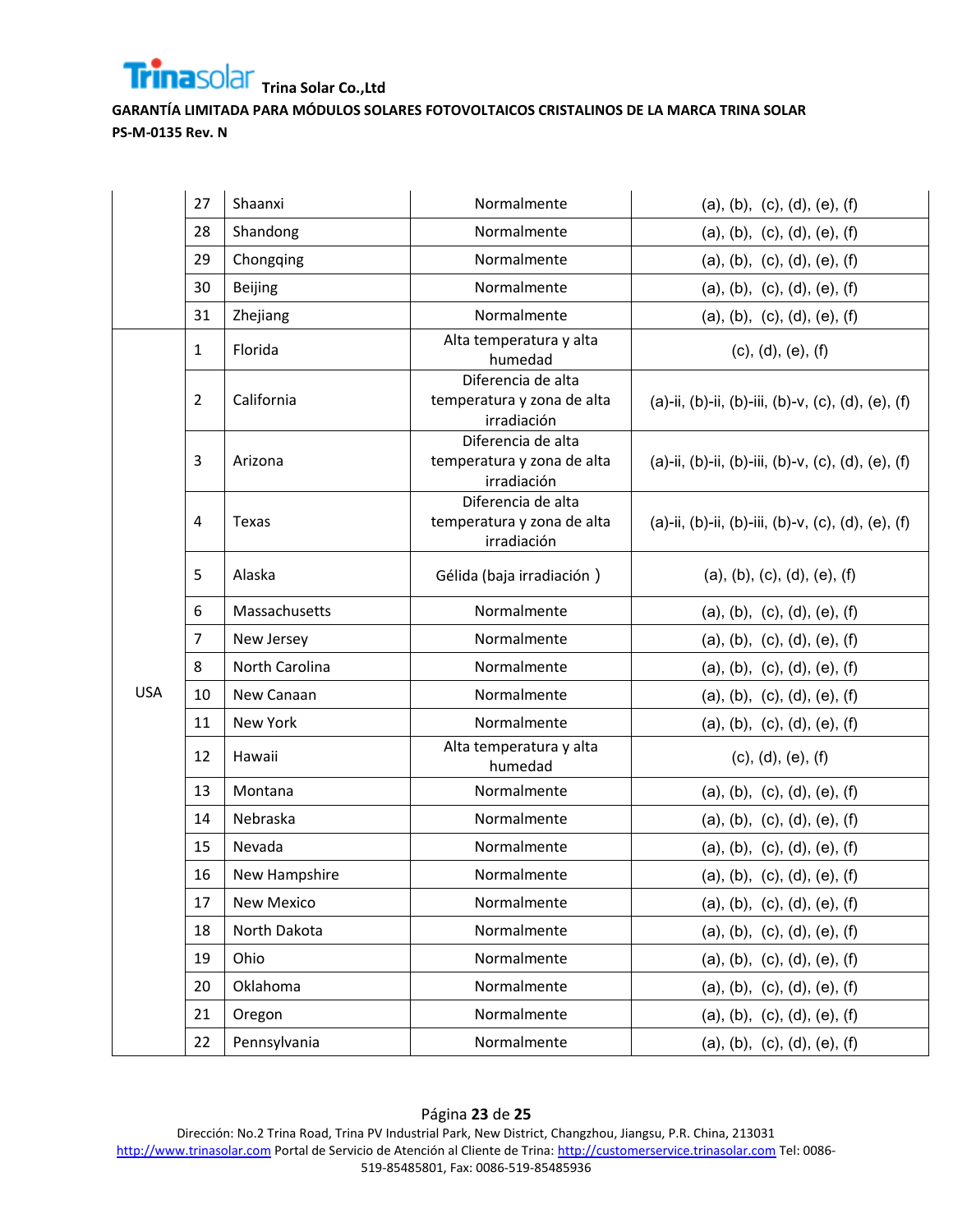

|            | 27             | Shaanxi        | Normalmente                                                     | (a), (b), (c), (d), (e), (f)                       |
|------------|----------------|----------------|-----------------------------------------------------------------|----------------------------------------------------|
|            | 28             | Shandong       | Normalmente                                                     | (a), (b), (c), (d), (e), (f)                       |
|            | 29             | Chongqing      | Normalmente                                                     | (a), (b), (c), (d), (e), (f)                       |
|            | 30             | Beijing        | Normalmente                                                     | (a), (b), (c), (d), (e), (f)                       |
|            | 31             | Zhejiang       | Normalmente                                                     | (a), (b), (c), (d), (e), (f)                       |
|            | 1              | Florida        | Alta temperatura y alta<br>humedad                              | (c), (d), (e), (f)                                 |
|            | $\overline{2}$ | California     | Diferencia de alta<br>temperatura y zona de alta<br>irradiación | (a)-ii, (b)-ii, (b)-iii, (b)-v, (c), (d), (e), (f) |
|            | 3              | Arizona        | Diferencia de alta<br>temperatura y zona de alta<br>irradiación | (a)-ii, (b)-ii, (b)-iii, (b)-v, (c), (d), (e), (f) |
|            | 4              | Texas          | Diferencia de alta<br>temperatura y zona de alta<br>irradiación | (a)-ii, (b)-ii, (b)-iii, (b)-v, (c), (d), (e), (f) |
|            | 5.             | Alaska         | Gélida (baja irradiación)                                       | (a), (b), (c), (d), (e), (f)                       |
|            | 6              | Massachusetts  | Normalmente                                                     | (a), (b), (c), (d), (e), (f)                       |
|            | 7              | New Jersey     | Normalmente                                                     | (a), (b), (c), (d), (e), (f)                       |
|            | 8              | North Carolina | Normalmente                                                     | (a), (b), (c), (d), (e), (f)                       |
| <b>USA</b> | 10             | New Canaan     | Normalmente                                                     | (a), (b), (c), (d), (e), (f)                       |
|            | 11             | New York       | Normalmente                                                     | (a), (b), (c), (d), (e), (f)                       |
|            | 12             | Hawaii         | Alta temperatura y alta<br>humedad                              | (c), (d), (e), (f)                                 |
|            | 13             | Montana        | Normalmente                                                     | (a), (b), (c), (d), (e), (f)                       |
|            | 14             | Nebraska       | Normalmente                                                     | (a), (b), (c), (d), (e), (f)                       |
|            | 15             | Nevada         | Normalmente                                                     | (a), (b), (c), (d), (e), (f)                       |
|            | 16             | New Hampshire  | Normalmente                                                     | (a), (b), (c), (d), (e), (f)                       |
|            | 17             | New Mexico     | Normalmente                                                     | (a), (b), (c), (d), (e), (f)                       |
|            | 18             | North Dakota   | Normalmente                                                     | (a), (b), (c), (d), (e), (f)                       |
|            | 19             | Ohio           | Normalmente                                                     | (a), (b), (c), (d), (e), (f)                       |
|            | 20             | Oklahoma       | Normalmente                                                     | (a), (b), (c), (d), (e), (f)                       |
|            | 21             | Oregon         | Normalmente                                                     | (a), (b), (c), (d), (e), (f)                       |
|            | 22             | Pennsylvania   | Normalmente                                                     | (a), (b), (c), (d), (e), (f)                       |

## Página **23** de **25**

Dirección: No.2 Trina Road, Trina PV Industrial Park, New District, Changzhou, Jiangsu, P.R. China, 213031 [http://www.trinasolar.com](http://www.trinasolar.com/) Portal de Servicio de Atención al Cliente de Trina[: http://customerservice.trinasolar.com](http://customerservice.trinasolar.com/) Tel: 0086-519-85485801, Fax: 0086-519-85485936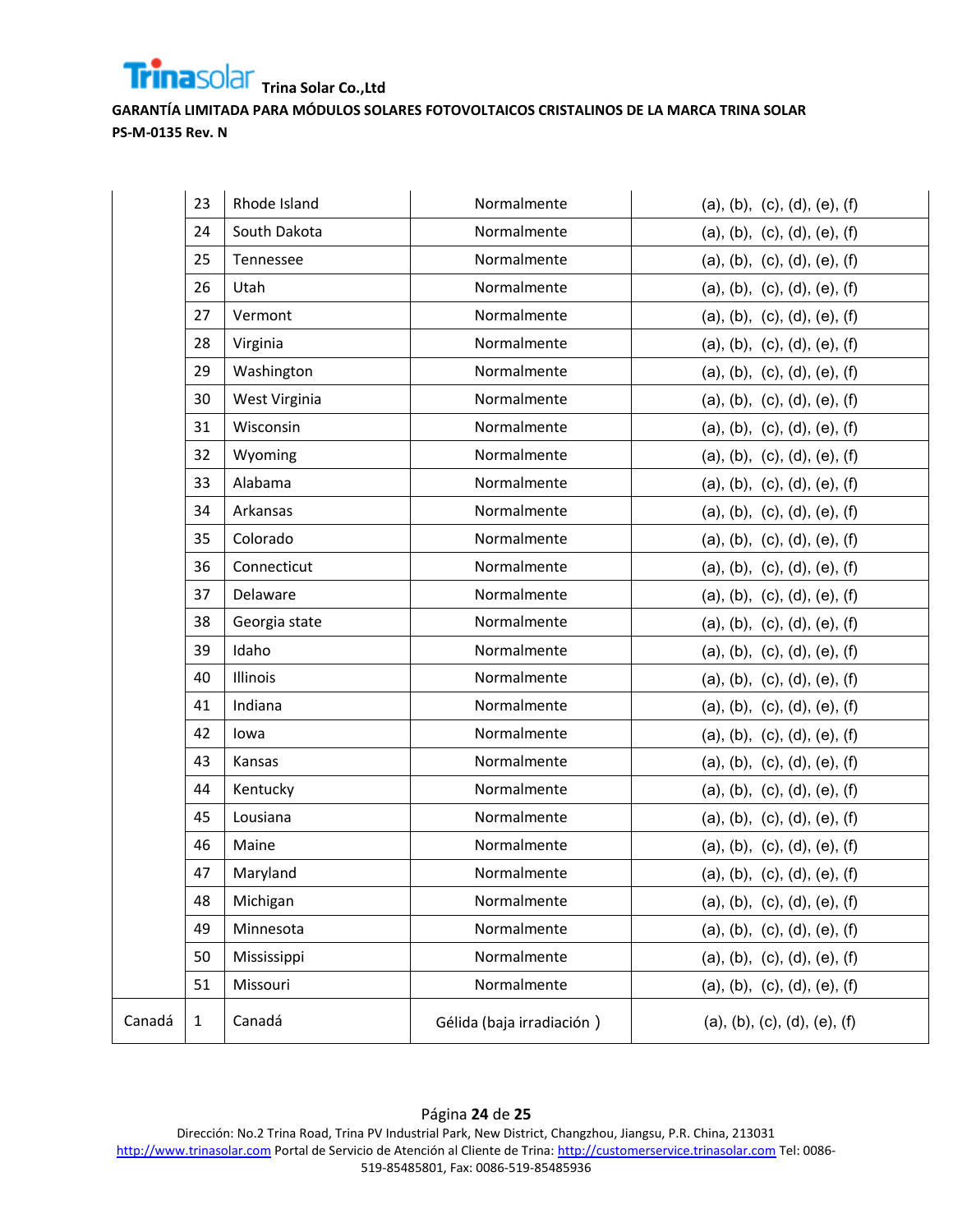

|        | 23           | Rhode Island  | Normalmente               | (a), (b), (c), (d), (e), (f) |
|--------|--------------|---------------|---------------------------|------------------------------|
|        | 24           | South Dakota  | Normalmente               | (a), (b), (c), (d), (e), (f) |
|        | 25           | Tennessee     | Normalmente               | (a), (b), (c), (d), (e), (f) |
|        | 26           | Utah          | Normalmente               | (a), (b), (c), (d), (e), (f) |
|        | 27           | Vermont       | Normalmente               | (a), (b), (c), (d), (e), (f) |
|        | 28           | Virginia      | Normalmente               | (a), (b), (c), (d), (e), (f) |
|        | 29           | Washington    | Normalmente               | (a), (b), (c), (d), (e), (f) |
|        | 30           | West Virginia | Normalmente               | (a), (b), (c), (d), (e), (f) |
|        | 31           | Wisconsin     | Normalmente               | (a), (b), (c), (d), (e), (f) |
|        | 32           | Wyoming       | Normalmente               | (a), (b), (c), (d), (e), (f) |
|        | 33           | Alabama       | Normalmente               | (a), (b), (c), (d), (e), (f) |
|        | 34           | Arkansas      | Normalmente               | (a), (b), (c), (d), (e), (f) |
|        | 35           | Colorado      | Normalmente               | (a), (b), (c), (d), (e), (f) |
|        | 36           | Connecticut   | Normalmente               | (a), (b), (c), (d), (e), (f) |
|        | 37           | Delaware      | Normalmente               | (a), (b), (c), (d), (e), (f) |
|        | 38           | Georgia state | Normalmente               | (a), (b), (c), (d), (e), (f) |
|        | 39           | Idaho         | Normalmente               | (a), (b), (c), (d), (e), (f) |
|        | 40           | Illinois      | Normalmente               | (a), (b), (c), (d), (e), (f) |
|        | 41           | Indiana       | Normalmente               | (a), (b), (c), (d), (e), (f) |
|        | 42           | lowa          | Normalmente               | (a), (b), (c), (d), (e), (f) |
|        | 43           | Kansas        | Normalmente               | (a), (b), (c), (d), (e), (f) |
|        | 44           | Kentucky      | Normalmente               | (a), (b), (c), (d), (e), (f) |
|        | 45           | Lousiana      | Normalmente               | (a), (b), (c), (d), (e), (f) |
|        | 46           | Maine         | Normalmente               | (a), (b), (c), (d), (e), (f) |
|        | 47           | Maryland      | Normalmente               | (a), (b), (c), (d), (e), (f) |
|        | 48           | Michigan      | Normalmente               | (a), (b), (c), (d), (e), (f) |
|        | 49           | Minnesota     | Normalmente               | (a), (b), (c), (d), (e), (f) |
|        | 50           | Mississippi   | Normalmente               | (a), (b), (c), (d), (e), (f) |
|        | 51           | Missouri      | Normalmente               | (a), (b), (c), (d), (e), (f) |
| Canadá | $\mathbf{1}$ | Canadá        | Gélida (baja irradiación) | (a), (b), (c), (d), (e), (f) |